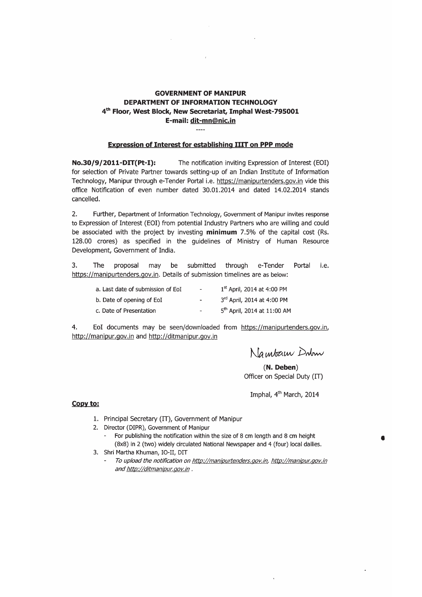#### **GOVERNMENT OF MANIPUR** DEPARTMENT OF INFORMATION TECHNOLOGY 4th Floor, West Block, New Secretariat, Imphal West-795001 E-mail: dit-mn@nic.in  $\overline{a}$

#### **Expression of Interest for establishing IIIT on PPP mode**

No.30/9/2011-DIT(Pt-I): The notification inviting Expression of Interest (EOI) for selection of Private Partner towards setting-up of an Indian Institute of Information Technology, Manipur through e-Tender Portal i.e. https://manipurtenders.gov.in vide this office Notification of even number dated 30.01.2014 and dated 14.02.2014 stands cancelled.

 $2.$ Further, Department of Information Technology, Government of Manipur invites response to Expression of Interest (EOI) from potential Industry Partners who are willing and could be associated with the project by investing minimum 7.5% of the capital cost (Rs. 128.00 crores) as specified in the guidelines of Ministry of Human Resource Development, Government of India.

 $\overline{3}$ . The proposal may be submitted through e-Tender Portal i.e. https://manipurtenders.gov.in. Details of submission timelines are as below:

| a. Last date of submission of EoI | $\overline{\phantom{a}}$ | 1 <sup>st</sup> April, 2014 at 4:00 PM  |
|-----------------------------------|--------------------------|-----------------------------------------|
| b. Date of opening of EoI         | $\ddot{}$                | 3rd April, 2014 at 4:00 PM              |
| c. Date of Presentation           | ٠                        | 5 <sup>th</sup> April, 2014 at 11:00 AM |

4. EoI documents may be seen/downloaded from https://manipurtenders.gov.in, http://manipur.gov.in and http://ditmanipur.gov.in

Nambarn Dobon

 $(N. Deben)$ Officer on Special Duty (IT)

Imphal, 4<sup>th</sup> March, 2014

#### Copy to:

- 1. Principal Secretary (IT), Government of Manipur
- 2. Director (DIPR), Government of Manipur
	- For publishing the notification within the size of 8 cm length and 8 cm height (8x8) in 2 (two) widely circulated National Newspaper and 4 (four) local dailies.
- 3. Shri Martha Khuman, IO-II, DIT
	- To upload the notification on http://manipurtenders.gov.in, http://manipur.gov.in and http://ditmanipur.gov.in.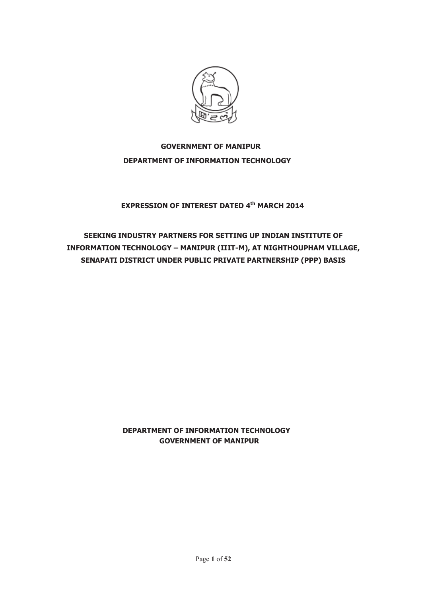

# **GOVERNMENT OF MANIPUR DEPARTMENT OF INFORMATION TECHNOLOGY**

#### **EXPRESSION OF INTEREST DATED 4th MARCH 2014**

# **SEEKING INDUSTRY PARTNERS FOR SETTING UP INDIAN INSTITUTE OF INFORMATION TECHNOLOGY – MANIPUR (IIIT-M), AT NIGHTHOUPHAM VILLAGE, SENAPATI DISTRICT UNDER PUBLIC PRIVATE PARTNERSHIP (PPP) BASIS**

#### **DEPARTMENT OF INFORMATION TECHNOLOGY GOVERNMENT OF MANIPUR**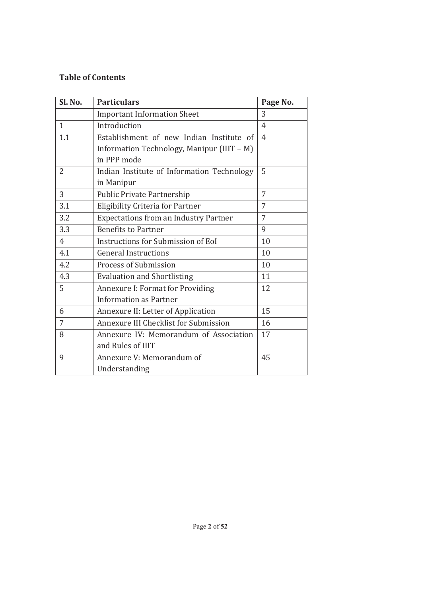#### **Table of Contents**

| Sl. No.      | <b>Particulars</b>                           | Page No. |
|--------------|----------------------------------------------|----------|
|              | <b>Important Information Sheet</b>           | 3        |
| $\mathbf{1}$ | Introduction                                 | 4        |
| 1.1          | Establishment of new Indian Institute of     | 4        |
|              | Information Technology, Manipur (IIIT - M)   |          |
|              | in PPP mode                                  |          |
| 2            | Indian Institute of Information Technology   | 5        |
|              | in Manipur                                   |          |
| 3            | <b>Public Private Partnership</b>            | 7        |
| 3.1          | Eligibility Criteria for Partner             | 7        |
| 3.2          | <b>Expectations from an Industry Partner</b> | 7        |
| 3.3          | <b>Benefits to Partner</b>                   | 9        |
| 4            | <b>Instructions for Submission of EoI</b>    | 10       |
| 4.1          | <b>General Instructions</b>                  | 10       |
| 4.2          | <b>Process of Submission</b>                 | 10       |
| 4.3          | <b>Evaluation and Shortlisting</b>           | 11       |
| 5            | Annexure I: Format for Providing             | 12       |
|              | <b>Information as Partner</b>                |          |
| 6            | Annexure II: Letter of Application           | 15       |
| 7            | Annexure III Checklist for Submission        | 16       |
| 8            | Annexure IV: Memorandum of Association       | 17       |
|              | and Rules of IIIT                            |          |
| 9            | Annexure V: Memorandum of                    | 45       |
|              | Understanding                                |          |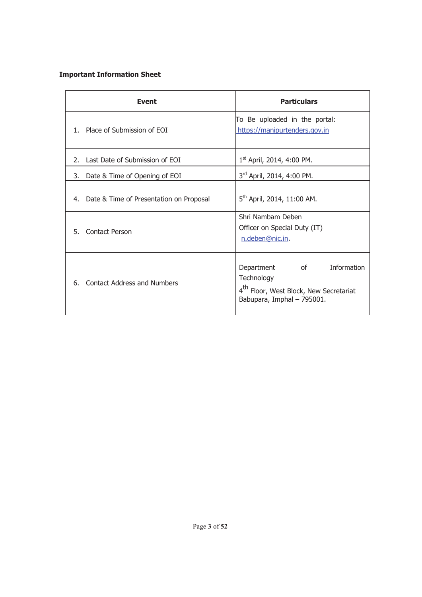#### **Important Information Sheet**

| <b>Event</b>                               | <b>Particulars</b>                                                                                                                                    |
|--------------------------------------------|-------------------------------------------------------------------------------------------------------------------------------------------------------|
| Place of Submission of EOI<br>1.           | To Be uploaded in the portal:<br>https://manipurtenders.gov.in                                                                                        |
| Last Date of Submission of EOI<br>2.1      | 1st April, 2014, 4:00 PM.                                                                                                                             |
| Date & Time of Opening of EOI<br>3.        | 3rd April, 2014, 4:00 PM.                                                                                                                             |
| 4. Date & Time of Presentation on Proposal | $5th$ April, 2014, 11:00 AM.                                                                                                                          |
| Contact Person<br>5.                       | Shri Nambam Deben<br>Officer on Special Duty (IT)<br>n.deben@nic.in.                                                                                  |
| <b>Contact Address and Numbers</b><br>6.   | $\overline{\text{of}}$<br>Information<br>Department<br>Technology<br>4 <sup>th</sup> Floor, West Block, New Secretariat<br>Babupara, Imphal - 795001. |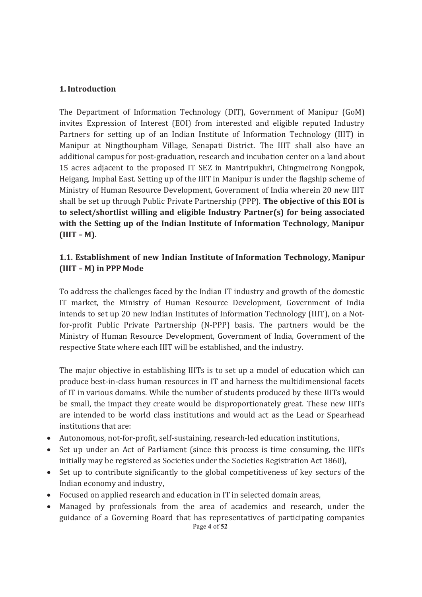#### **1. Introduction**

The Department of Information Technology (DIT), Government of Manipur (GoM) invites Expression of Interest (EOI) from interested and eligible reputed Industry Partners for setting up of an Indian Institute of Information Technology (IIIT) in Manipur at Ningthoupham Village, Senapati District. The IIIT shall also have an additional campus for post-graduation, research and incubation center on a land about 15 acres adjacent to the proposed IT SEZ in Mantripukhri, Chingmeirong Nongpok, Heigang, Imphal East. Setting up of the IIIT in Manipur is under the flagship scheme of Ministry of Human Resource Development, Government of India wherein 20 new IIIT shall be set up through Public Private Partnership (PPP). **The objective of this EOI is to select/shortlist willing and eligible Industry Partner(s) for being associated with the Setting up of the Indian Institute of Information Technology, Manipur (IIIT – M).** 

#### **1.1. Establishment of new Indian Institute of Information Technology, Manipur (IIIT – M) in PPP Mode**

To address the challenges faced by the Indian IT industry and growth of the domestic IT market, the Ministry of Human Resource Development, Government of India intends to set up 20 new Indian Institutes of Information Technology (IIIT), on a Notfor-profit Public Private Partnership (N-PPP) basis. The partners would be the Ministry of Human Resource Development, Government of India, Government of the respective State where each IIIT will be established, and the industry.

The major objective in establishing IIITs is to set up a model of education which can produce best-in-class human resources in IT and harness the multidimensional facets of IT in various domains. While the number of students produced by these IIITs would be small, the impact they create would be disproportionately great. These new IIITs are intended to be world class institutions and would act as the Lead or Spearhead institutions that are:

- · Autonomous, not-for-profit, self-sustaining, research-led education institutions,
- Set up under an Act of Parliament (since this process is time consuming, the IIITs initially may be registered as Societies under the Societies Registration Act 1860),
- Set up to contribute significantly to the global competitiveness of key sectors of the Indian economy and industry,
- · Focused on applied research and education in IT in selected domain areas,
- Page **4** of **52** · Managed by professionals from the area of academics and research, under the guidance of a Governing Board that has representatives of participating companies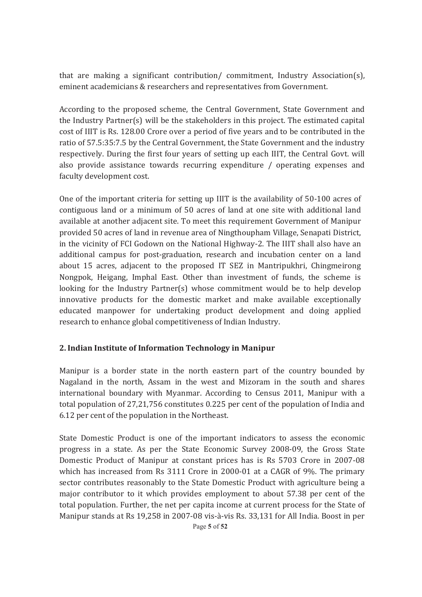that are making a significant contribution/ commitment, Industry Association(s), eminent academicians & researchers and representatives from Government.

According to the proposed scheme, the Central Government, State Government and the Industry Partner(s) will be the stakeholders in this project. The estimated capital cost of IIIT is Rs. 128.00 Crore over a period of five years and to be contributed in the ratio of 57.5:35:7.5 by the Central Government, the State Government and the industry respectively. During the first four years of setting up each IIIT, the Central Govt. will also provide assistance towards recurring expenditure / operating expenses and faculty development cost.

One of the important criteria for setting up IIIT is the availability of 50-100 acres of contiguous land or a minimum of 50 acres of land at one site with additional land available at another adjacent site. To meet this requirement Government of Manipur provided 50 acres of land in revenue area of Ningthoupham Village, Senapati District, in the vicinity of FCI Godown on the National Highway-2. The IIIT shall also have an additional campus for post-graduation, research and incubation center on a land about 15 acres, adjacent to the proposed IT SEZ in Mantripukhri, Chingmeirong Nongpok, Heigang, Imphal East. Other than investment of funds, the scheme is looking for the Industry Partner(s) whose commitment would be to help develop innovative products for the domestic market and make available exceptionally educated manpower for undertaking product development and doing applied research to enhance global competitiveness of Indian Industry.

#### **2. Indian Institute of Information Technology in Manipur**

Manipur is a border state in the north eastern part of the country bounded by Nagaland in the north, Assam in the west and Mizoram in the south and shares international boundary with Myanmar. According to Census 2011, Manipur with a total population of 27,21,756 constitutes 0.225 per cent of the population of India and 6.12 per cent of the population in the Northeast.

State Domestic Product is one of the important indicators to assess the economic progress in a state. As per the State Economic Survey 2008-09, the Gross State Domestic Product of Manipur at constant prices has is Rs 5703 Crore in 2007-08 which has increased from Rs 3111 Crore in 2000-01 at a CAGR of 9%. The primary sector contributes reasonably to the State Domestic Product with agriculture being a major contributor to it which provides employment to about 57.38 per cent of the total population. Further, the net per capita income at current process for the State of Manipur stands at Rs 19,258 in 2007-08 vis-à-vis Rs. 33,131 for All India. Boost in per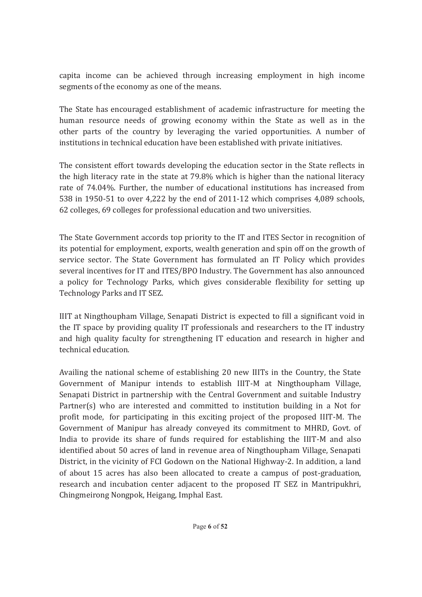capita income can be achieved through increasing employment in high income segments of the economy as one of the means.

The State has encouraged establishment of academic infrastructure for meeting the human resource needs of growing economy within the State as well as in the other parts of the country by leveraging the varied opportunities. A number of institutions in technical education have been established with private initiatives.

The consistent effort towards developing the education sector in the State reflects in the high literacy rate in the state at 79.8% which is higher than the national literacy rate of 74.04%. Further, the number of educational institutions has increased from 538 in 1950-51 to over 4,222 by the end of 2011-12 which comprises 4,089 schools, 62 colleges, 69 colleges for professional education and two universities.

The State Government accords top priority to the IT and ITES Sector in recognition of its potential for employment, exports, wealth generation and spin off on the growth of service sector. The State Government has formulated an IT Policy which provides several incentives for IT and ITES/BPO Industry. The Government has also announced a policy for Technology Parks, which gives considerable flexibility for setting up Technology Parks and IT SEZ.

IIIT at Ningthoupham Village, Senapati District is expected to fill a significant void in the IT space by providing quality IT professionals and researchers to the IT industry and high quality faculty for strengthening IT education and research in higher and technical education.

Availing the national scheme of establishing 20 new IIITs in the Country, the State Government of Manipur intends to establish IIIT-M at Ningthoupham Village, Senapati District in partnership with the Central Government and suitable Industry Partner(s) who are interested and committed to institution building in a Not for profit mode, for participating in this exciting project of the proposed IIIT-M. The Government of Manipur has already conveyed its commitment to MHRD, Govt. of India to provide its share of funds required for establishing the IIIT-M and also identified about 50 acres of land in revenue area of Ningthoupham Village, Senapati District, in the vicinity of FCI Godown on the National Highway-2. In addition, a land of about 15 acres has also been allocated to create a campus of post-graduation, research and incubation center adjacent to the proposed IT SEZ in Mantripukhri, Chingmeirong Nongpok, Heigang, Imphal East.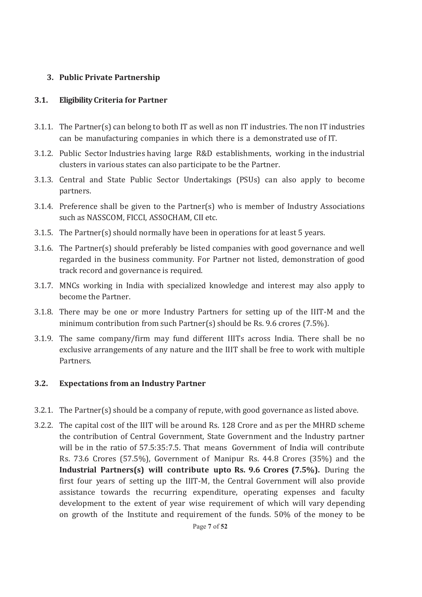#### **3. Public Private Partnership**

#### **3.1. Eligibility Criteria for Partner**

- 3.1.1. The Partner(s) can belong to both IT as well as non IT industries. The non IT industries can be manufacturing companies in which there is a demonstrated use of IT.
- 3.1.2. Public Sector Industries having large R&D establishments, working in the industrial clusters in various states can also participate to be the Partner.
- 3.1.3. Central and State Public Sector Undertakings (PSUs) can also apply to become partners.
- 3.1.4. Preference shall be given to the Partner(s) who is member of Industry Associations such as NASSCOM, FICCI, ASSOCHAM, CII etc.
- 3.1.5. The Partner(s) should normally have been in operations for at least 5 years.
- 3.1.6. The Partner(s) should preferably be listed companies with good governance and well regarded in the business community. For Partner not listed, demonstration of good track record and governance is required.
- 3.1.7. MNCs working in India with specialized knowledge and interest may also apply to become the Partner.
- 3.1.8. There may be one or more Industry Partners for setting up of the IIIT-M and the minimum contribution from such Partner(s) should be Rs. 9.6 crores (7.5%).
- 3.1.9. The same company/firm may fund different IIITs across India. There shall be no exclusive arrangements of any nature and the IIIT shall be free to work with multiple Partners.

#### **3.2. Expectations from an Industry Partner**

- 3.2.1. The Partner(s) should be a company of repute, with good governance as listed above.
- 3.2.2. The capital cost of the IIIT will be around Rs. 128 Crore and as per the MHRD scheme the contribution of Central Government, State Government and the Industry partner will be in the ratio of 57.5:35:7.5. That means Government of India will contribute Rs. 73.6 Crores (57.5%), Government of Manipur Rs. 44.8 Crores (35%) and the **Industrial Partners(s) will contribute upto Rs. 9.6 Crores (7.5%).** During the first four years of setting up the IIIT-M, the Central Government will also provide assistance towards the recurring expenditure, operating expenses and faculty development to the extent of year wise requirement of which will vary depending on growth of the Institute and requirement of the funds. 50% of the money to be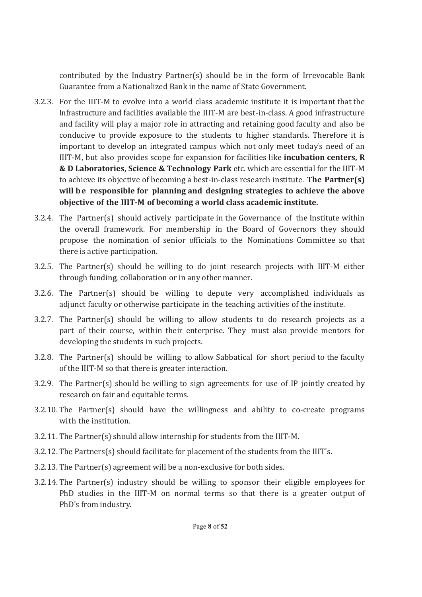contributed by the Industry Partner(s) should be in the form of Irrevocable Bank Guarantee from a Nationalized Bank in the name of State Government.

- 3.2.3. For the IIIT-M to evolve into a world class academic institute it is important that the Infrastructure and facilities available the IIIT-M are best-in-class. A good infrastructure and facility will play a major role in attracting and retaining good faculty and also be conducive to provide exposure to the students to higher standards. Therefore it is important to develop an integrated campus which not only meet today's need of an IIIT-M, but also provides scope for expansion for facilities like **incubation centers, R & D Laboratories, Science & Technology Park** etc. which are essential for the IIIT-M to achieve its objective of becoming a best-in-class research institute. **The Partner(s)**  will be responsible for planning and designing strategies to achieve the above **objective of the IIIT-M of becoming a world class academic institute.**
- 3.2.4. The Partner(s) should actively participate in the Governance of the Institute within the overall framework. For membership in the Board of Governors they should propose the nomination of senior officials to the Nominations Committee so that there is active participation.
- 3.2.5. The Partner(s) should be willing to do joint research projects with IIIT-M either through funding, collaboration or in any other manner.
- 3.2.6. The Partner(s) should be willing to depute very accomplished individuals as adjunct faculty or otherwise participate in the teaching activities of the institute.
- 3.2.7. The Partner(s) should be willing to allow students to do research projects as a part of their course, within their enterprise. They must also provide mentors for developing the students in such projects.
- 3.2.8. The Partner(s) should be willing to allow Sabbatical for short period to the faculty of the IIIT-M so that there is greater interaction.
- 3.2.9. The Partner(s) should be willing to sign agreements for use of IP jointly created by research on fair and equitable terms.
- 3.2.10. The Partner(s) should have the willingness and ability to co-create programs with the institution.
- 3.2.11. The Partner(s) should allow internship for students from the IIIT-M.
- 3.2.12. The Partners(s) should facilitate for placement of the students from the IIIT's.
- 3.2.13. The Partner(s) agreement will be a non-exclusive for both sides.
- 3.2.14. The Partner(s) industry should be willing to sponsor their eligible employees for PhD studies in the IIIT-M on normal terms so that there is a greater output of PhD's from industry.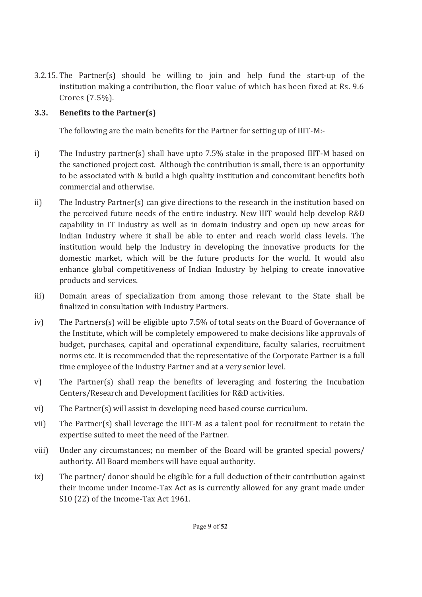3.2.15. The Partner(s) should be willing to join and help fund the start-up of the institution making a contribution, the floor value of which has been fixed at Rs. 9.6 Crores (7.5%).

# **3.3. Benefits to the Partner(s)**

The following are the main benefits for the Partner for setting up of IIIT-M:-

- i) The Industry partner(s) shall have upto 7.5% stake in the proposed IIIT-M based on the sanctioned project cost. Although the contribution is small, there is an opportunity to be associated with & build a high quality institution and concomitant benefits both commercial and otherwise.
- ii) The Industry Partner(s) can give directions to the research in the institution based on the perceived future needs of the entire industry. New IIIT would help develop R&D capability in IT Industry as well as in domain industry and open up new areas for Indian Industry where it shall be able to enter and reach world class levels. The institution would help the Industry in developing the innovative products for the domestic market, which will be the future products for the world. It would also enhance global competitiveness of Indian Industry by helping to create innovative products and services.
- iii) Domain areas of specialization from among those relevant to the State shall be finalized in consultation with Industry Partners.
- iv) The Partners(s) will be eligible upto 7.5% of total seats on the Board of Governance of the Institute, which will be completely empowered to make decisions like approvals of budget, purchases, capital and operational expenditure, faculty salaries, recruitment norms etc. It is recommended that the representative of the Corporate Partner is a full time employee of the Industry Partner and at a very senior level.
- v) The Partner(s) shall reap the benefits of leveraging and fostering the Incubation Centers/Research and Development facilities for R&D activities.
- vi) The Partner(s) will assist in developing need based course curriculum.
- vii) The Partner(s) shall leverage the IIIT-M as a talent pool for recruitment to retain the expertise suited to meet the need of the Partner.
- viii) Under any circumstances; no member of the Board will be granted special powers/ authority. All Board members will have equal authority.
- ix) The partner/ donor should be eligible for a full deduction of their contribution against their income under Income-Tax Act as is currently allowed for any grant made under S10 (22) of the Income-Tax Act 1961.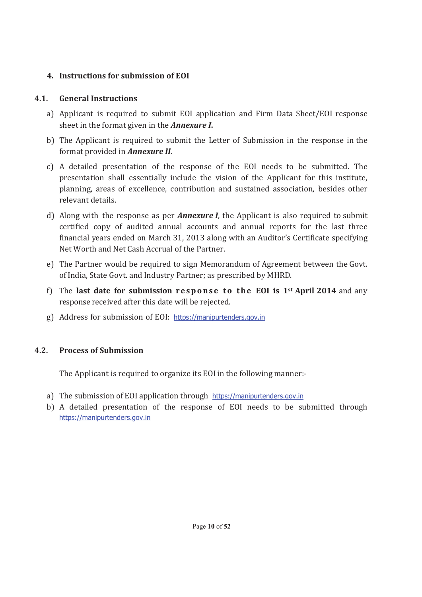# **4. Instructions for submission of EOI**

# **4.1. General Instructions**

- a) Applicant is required to submit EOI application and Firm Data Sheet/EOI response sheet in the format given in the *Annexure I***.**
- b) The Applicant is required to submit the Letter of Submission in the response in the format provided in *Annexure II***.**
- c) A detailed presentation of the response of the EOI needs to be submitted. The presentation shall essentially include the vision of the Applicant for this institute, planning, areas of excellence, contribution and sustained association, besides other relevant details.
- d) Along with the response as per *Annexure I*, the Applicant is also required to submit certified copy of audited annual accounts and annual reports for the last three financial years ended on March 31, 2013 along with an Auditor's Certificate specifying Net Worth and Net Cash Accrual of the Partner.
- e) The Partner would be required to sign Memorandum of Agreement between the Govt. of India, State Govt. and Industry Partner; as prescribed by MHRD.
- f) The last date for submission response to the EOI is 1<sup>st</sup> April 2014 and any response received after this date will be rejected.
- g) Address for submission of EOI: https://manipurtenders.gov.in

# **4.2. Process of Submission**

The Applicant is required to organize its EOI in the following manner:-

- a) The submission of EOI application through https://manipurtenders.gov.in
- b) A detailed presentation of the response of EOI needs to be submitted through https://manipurtenders.gov.in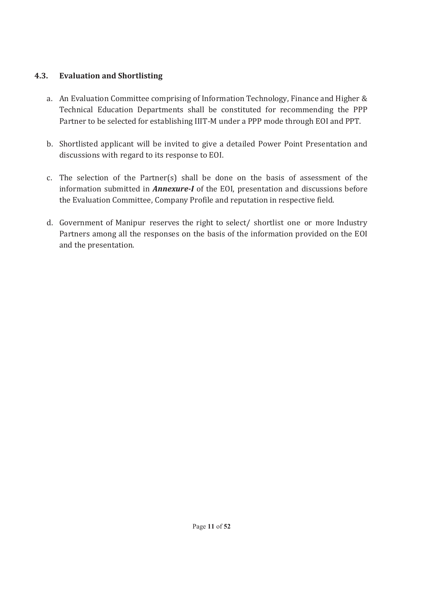#### **4.3. Evaluation and Shortlisting**

- a. An Evaluation Committee comprising of Information Technology, Finance and Higher & Technical Education Departments shall be constituted for recommending the PPP Partner to be selected for establishing IIIT-M under a PPP mode through EOI and PPT.
- b. Shortlisted applicant will be invited to give a detailed Power Point Presentation and discussions with regard to its response to EOI.
- c. The selection of the Partner(s) shall be done on the basis of assessment of the information submitted in *Annexure-I* of the EOI, presentation and discussions before the Evaluation Committee, Company Profile and reputation in respective field.
- d. Government of Manipur reserves the right to select/ shortlist one or more Industry Partners among all the responses on the basis of the information provided on the EOI and the presentation.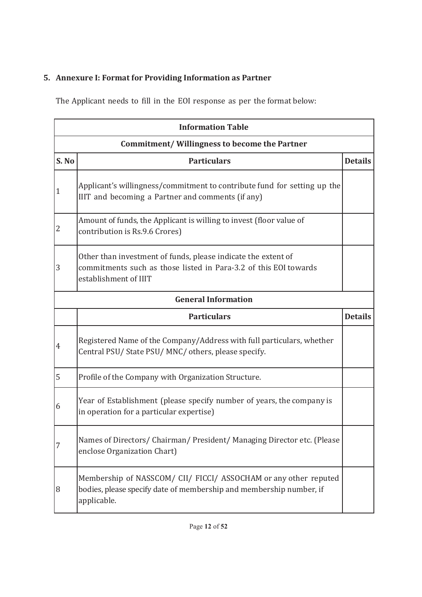# **5. Annexure I: Format for Providing Information as Partner**

The Applicant needs to fill in the EOI response as per the format below:

| <b>Information Table</b>                            |                                                                                                                                                            |                |
|-----------------------------------------------------|------------------------------------------------------------------------------------------------------------------------------------------------------------|----------------|
| <b>Commitment/Willingness to become the Partner</b> |                                                                                                                                                            |                |
| S. No                                               | <b>Particulars</b>                                                                                                                                         | <b>Details</b> |
| $\mathbf{1}$                                        | Applicant's willingness/commitment to contribute fund for setting up the<br>IIIT and becoming a Partner and comments (if any)                              |                |
| 2                                                   | Amount of funds, the Applicant is willing to invest (floor value of<br>contribution is Rs.9.6 Crores)                                                      |                |
| 3                                                   | Other than investment of funds, please indicate the extent of<br>commitments such as those listed in Para-3.2 of this EOI towards<br>establishment of IIIT |                |
|                                                     | <b>General Information</b>                                                                                                                                 |                |
|                                                     | <b>Particulars</b>                                                                                                                                         | <b>Details</b> |
| 4                                                   | Registered Name of the Company/Address with full particulars, whether<br>Central PSU/ State PSU/ MNC/ others, please specify.                              |                |
| 5                                                   | Profile of the Company with Organization Structure.                                                                                                        |                |
| 6                                                   | Year of Establishment (please specify number of years, the company is<br>in operation for a particular expertise)                                          |                |
| 7                                                   | Names of Directors/ Chairman/ President/ Managing Director etc. (Please<br>enclose Organization Chart)                                                     |                |
| 8                                                   | Membership of NASSCOM/ CII/ FICCI/ ASSOCHAM or any other reputed<br>bodies, please specify date of membership and membership number, if<br>applicable.     |                |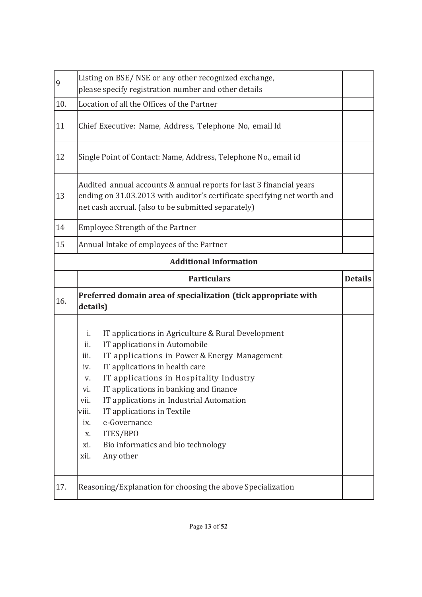| 9   | Listing on BSE/ NSE or any other recognized exchange,<br>please specify registration number and other details                                                                                                                                                                                                                                                                                                                                                                                             |                |
|-----|-----------------------------------------------------------------------------------------------------------------------------------------------------------------------------------------------------------------------------------------------------------------------------------------------------------------------------------------------------------------------------------------------------------------------------------------------------------------------------------------------------------|----------------|
| 10. | Location of all the Offices of the Partner                                                                                                                                                                                                                                                                                                                                                                                                                                                                |                |
| 11  | Chief Executive: Name, Address, Telephone No, email Id                                                                                                                                                                                                                                                                                                                                                                                                                                                    |                |
| 12  | Single Point of Contact: Name, Address, Telephone No., email id                                                                                                                                                                                                                                                                                                                                                                                                                                           |                |
| 13  | Audited annual accounts & annual reports for last 3 financial years<br>ending on 31.03.2013 with auditor's certificate specifying net worth and<br>net cash accrual. (also to be submitted separately)                                                                                                                                                                                                                                                                                                    |                |
| 14  | <b>Employee Strength of the Partner</b>                                                                                                                                                                                                                                                                                                                                                                                                                                                                   |                |
| 15  | Annual Intake of employees of the Partner                                                                                                                                                                                                                                                                                                                                                                                                                                                                 |                |
|     | <b>Additional Information</b>                                                                                                                                                                                                                                                                                                                                                                                                                                                                             |                |
|     | <b>Particulars</b>                                                                                                                                                                                                                                                                                                                                                                                                                                                                                        | <b>Details</b> |
|     |                                                                                                                                                                                                                                                                                                                                                                                                                                                                                                           |                |
| 16. | Preferred domain area of specialization (tick appropriate with<br>details)                                                                                                                                                                                                                                                                                                                                                                                                                                |                |
|     | IT applications in Agriculture & Rural Development<br>i.<br>IT applications in Automobile<br>ii.<br>IT applications in Power & Energy Management<br>iii.<br>IT applications in health care<br>iv.<br>IT applications in Hospitality Industry<br>V.<br>IT applications in banking and finance<br>Vl.<br>IT applications in Industrial Automation<br>vii.<br>IT applications in Textile<br>viii.<br>e-Governance<br>ix.<br>ITES/BPO<br>X.<br>Bio informatics and bio technology<br>xi.<br>xii.<br>Any other |                |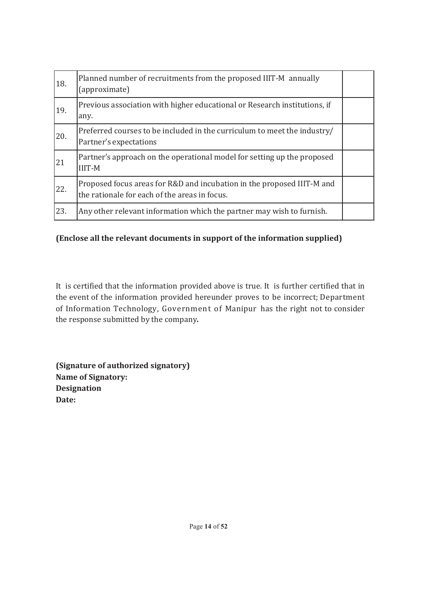| 18. | Planned number of recruitments from the proposed IIIT-M annually<br>(approximate)                                       |  |
|-----|-------------------------------------------------------------------------------------------------------------------------|--|
| 19. | Previous association with higher educational or Research institutions, if<br>any.                                       |  |
| 20. | Preferred courses to be included in the curriculum to meet the industry/<br>Partner's expectations                      |  |
| 21  | Partner's approach on the operational model for setting up the proposed<br><b>IIIT-M</b>                                |  |
| 22. | Proposed focus areas for R&D and incubation in the proposed IIIT-M and<br>the rationale for each of the areas in focus. |  |
| 23. | Any other relevant information which the partner may wish to furnish.                                                   |  |

# **(Enclose all the relevant documents in support of the information supplied)**

It is certified that the information provided above is true. It is further certified that in the event of the information provided hereunder proves to be incorrect; Department of Information Technology, Government of Manipur has the right not to consider the response submitted by the company*.*

**(Signature of authorized signatory) Name of Signatory: Designation Date:**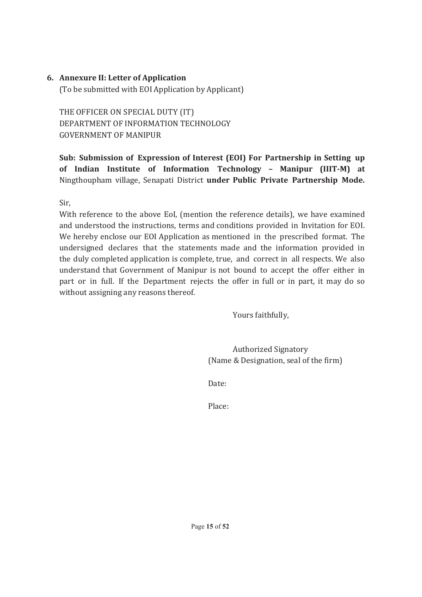#### **6. Annexure II: Letter of Application**

(To be submitted with EOI Application by Applicant)

THE OFFICER ON SPECIAL DUTY (IT) DEPARTMENT OF INFORMATION TECHNOLOGY GOVERNMENT OF MANIPUR

**Sub: Submission of Expression of Interest (EOI) For Partnership in Setting up of Indian Institute of Information Technology – Manipur (IIIT-M) at**  Ningthoupham village, Senapati District **under Public Private Partnership Mode.**

Sir,

With reference to the above EoI, (mention the reference details), we have examined and understood the instructions, terms and conditions provided in Invitation for EOI. We hereby enclose our EOI Application as mentioned in the prescribed format. The undersigned declares that the statements made and the information provided in the duly completed application is complete, true, and correct in all respects. We also understand that Government of Manipur is not bound to accept the offer either in part or in full. If the Department rejects the offer in full or in part, it may do so without assigning any reasons thereof.

Yours faithfully,

Authorized Signatory (Name & Designation, seal of the firm)

Date:

Place: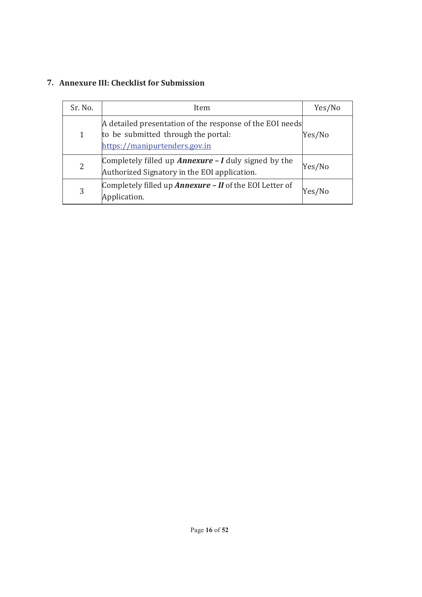# **7. Annexure III: Checklist for Submission**

| Sr. No.        | Item                                                                                                                             | Yes/No |
|----------------|----------------------------------------------------------------------------------------------------------------------------------|--------|
| 1              | A detailed presentation of the response of the EOI needs<br>to be submitted through the portal:<br>https://manipurtenders.gov.in | Yes/No |
| $\overline{2}$ | Completely filled up <b>Annexure - I</b> duly signed by the<br>Authorized Signatory in the EOI application.                      | Yes/No |
| 3              | Completely filled up <b>Annexure - II</b> of the EOI Letter of<br>Application.                                                   | Yes/No |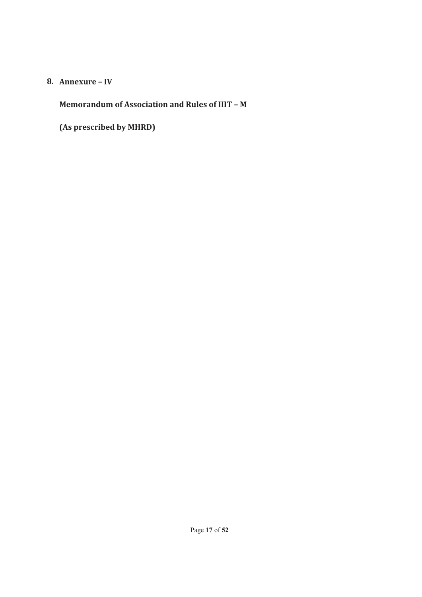#### **8. Annexure – IV**

**Memorandum of Association and Rules of IIIT – M** 

**(As prescribed by MHRD)**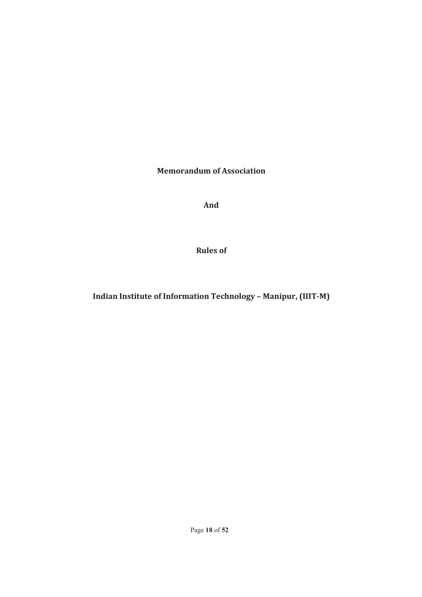**Memorandum of Association**

**And**

**Rules of**

**Indian Institute of Information Technology – Manipur, (IIIT-M)**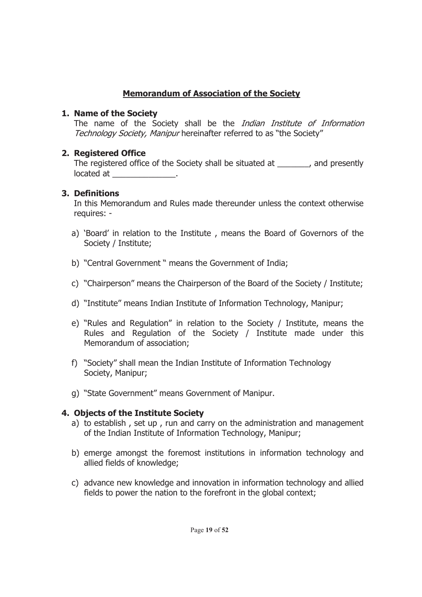# **Memorandum of Association of the Society**

### **1. Name of the Society**

The name of the Society shall be the *Indian Institute of Information* Technology Society, Manipur hereinafter referred to as "the Society"

# **2. Registered Office**

The registered office of the Society shall be situated at \_\_\_\_\_\_\_, and presently located at  $\Box$ 

# **3. Definitions**

In this Memorandum and Rules made thereunder unless the context otherwise requires: -

- a) 'Board' in relation to the Institute , means the Board of Governors of the Society / Institute;
- b) "Central Government " means the Government of India;
- c) "Chairperson" means the Chairperson of the Board of the Society / Institute;
- d) "Institute" means Indian Institute of Information Technology, Manipur;
- e) "Rules and Regulation" in relation to the Society / Institute, means the Rules and Regulation of the Society / Institute made under this Memorandum of association;
- f) "Society" shall mean the Indian Institute of Information Technology Society, Manipur;
- g) "State Government" means Government of Manipur.

# **4. Objects of the Institute Society**

- a) to establish , set up , run and carry on the administration and management of the Indian Institute of Information Technology, Manipur;
- b) emerge amongst the foremost institutions in information technology and allied fields of knowledge;
- c) advance new knowledge and innovation in information technology and allied fields to power the nation to the forefront in the global context;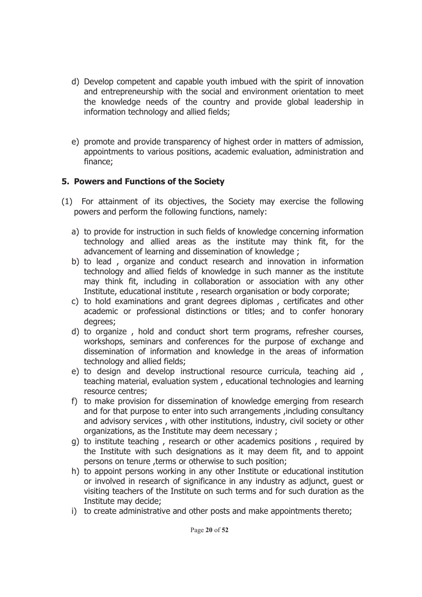- d) Develop competent and capable youth imbued with the spirit of innovation and entrepreneurship with the social and environment orientation to meet the knowledge needs of the country and provide global leadership in information technology and allied fields;
- e) promote and provide transparency of highest order in matters of admission, appointments to various positions, academic evaluation, administration and finance;

# **5. Powers and Functions of the Society**

- (1) For attainment of its objectives, the Society may exercise the following powers and perform the following functions, namely:
	- a) to provide for instruction in such fields of knowledge concerning information technology and allied areas as the institute may think fit, for the advancement of learning and dissemination of knowledge ;
	- b) to lead , organize and conduct research and innovation in information technology and allied fields of knowledge in such manner as the institute may think fit, including in collaboration or association with any other Institute, educational institute , research organisation or body corporate;
	- c) to hold examinations and grant degrees diplomas , certificates and other academic or professional distinctions or titles; and to confer honorary degrees;
	- d) to organize , hold and conduct short term programs, refresher courses, workshops, seminars and conferences for the purpose of exchange and dissemination of information and knowledge in the areas of information technology and allied fields;
	- e) to design and develop instructional resource curricula, teaching aid , teaching material, evaluation system , educational technologies and learning resource centres;
	- f) to make provision for dissemination of knowledge emerging from research and for that purpose to enter into such arrangements ,including consultancy and advisory services , with other institutions, industry, civil society or other organizations, as the Institute may deem necessary ;
	- g) to institute teaching , research or other academics positions , required by the Institute with such designations as it may deem fit, and to appoint persons on tenure , terms or otherwise to such position;
	- h) to appoint persons working in any other Institute or educational institution or involved in research of significance in any industry as adjunct, guest or visiting teachers of the Institute on such terms and for such duration as the Institute may decide;
	- i) to create administrative and other posts and make appointments thereto;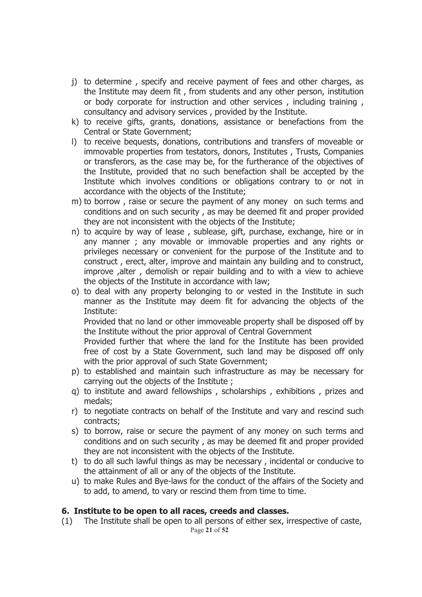- j) to determine , specify and receive payment of fees and other charges, as the Institute may deem fit , from students and any other person, institution or body corporate for instruction and other services , including training , consultancy and advisory services , provided by the Institute.
- k) to receive gifts, grants, donations, assistance or benefactions from the Central or State Government;
- l) to receive bequests, donations, contributions and transfers of moveable or immovable properties from testators, donors, Institutes , Trusts, Companies or transferors, as the case may be, for the furtherance of the objectives of the Institute, provided that no such benefaction shall be accepted by the Institute which involves conditions or obligations contrary to or not in accordance with the objects of the Institute;
- m) to borrow , raise or secure the payment of any money on such terms and conditions and on such security , as may be deemed fit and proper provided they are not inconsistent with the objects of the Institute;
- n) to acquire by way of lease , sublease, gift, purchase, exchange, hire or in any manner ; any movable or immovable properties and any rights or privileges necessary or convenient for the purpose of the Institute and to construct , erect, alter, improve and maintain any building and to construct, improve ,alter , demolish or repair building and to with a view to achieve the objects of the Institute in accordance with law;
- o) to deal with any property belonging to or vested in the Institute in such manner as the Institute may deem fit for advancing the objects of the Institute:

Provided that no land or other immoveable property shall be disposed off by the Institute without the prior approval of Central Government

Provided further that where the land for the Institute has been provided free of cost by a State Government, such land may be disposed off only with the prior approval of such State Government;

- p) to established and maintain such infrastructure as may be necessary for carrying out the objects of the Institute ;
- q) to institute and award fellowships , scholarships , exhibitions , prizes and medals;
- r) to negotiate contracts on behalf of the Institute and vary and rescind such contracts;
- s) to borrow, raise or secure the payment of any money on such terms and conditions and on such security , as may be deemed fit and proper provided they are not inconsistent with the objects of the Institute.
- t) to do all such lawful things as may be necessary , incidental or conducive to the attainment of all or any of the objects of the Institute.
- u) to make Rules and Bye-laws for the conduct of the affairs of the Society and to add, to amend, to vary or rescind them from time to time.

#### **6. Institute to be open to all races, creeds and classes.**

Page **21** of **52** (1) The Institute shall be open to all persons of either sex, irrespective of caste,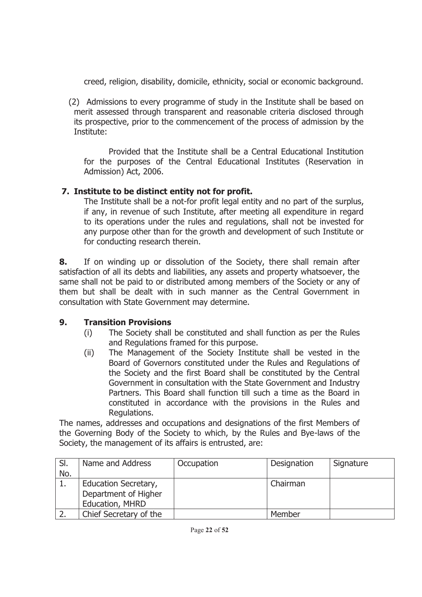creed, religion, disability, domicile, ethnicity, social or economic background.

(2) Admissions to every programme of study in the Institute shall be based on merit assessed through transparent and reasonable criteria disclosed through its prospective, prior to the commencement of the process of admission by the Institute:

Provided that the Institute shall be a Central Educational Institution for the purposes of the Central Educational Institutes (Reservation in Admission) Act, 2006.

# **7. Institute to be distinct entity not for profit.**

The Institute shall be a not-for profit legal entity and no part of the surplus, if any, in revenue of such Institute, after meeting all expenditure in regard to its operations under the rules and regulations, shall not be invested for any purpose other than for the growth and development of such Institute or for conducting research therein.

**8.** If on winding up or dissolution of the Society, there shall remain after satisfaction of all its debts and liabilities, any assets and property whatsoever, the same shall not be paid to or distributed among members of the Society or any of them but shall be dealt with in such manner as the Central Government in consultation with State Government may determine.

# **9. Transition Provisions**

- (i) The Society shall be constituted and shall function as per the Rules and Regulations framed for this purpose.
- (ii) The Management of the Society Institute shall be vested in the Board of Governors constituted under the Rules and Regulations of the Society and the first Board shall be constituted by the Central Government in consultation with the State Government and Industry Partners. This Board shall function till such a time as the Board in constituted in accordance with the provisions in the Rules and Regulations.

The names, addresses and occupations and designations of the first Members of the Governing Body of the Society to which, by the Rules and Bye-laws of the Society, the management of its affairs is entrusted, are:

| SI.<br>No. | Name and Address                                                | Occupation | Designation | Signature |
|------------|-----------------------------------------------------------------|------------|-------------|-----------|
|            | Education Secretary,<br>Department of Higher<br>Education, MHRD |            | Chairman    |           |
|            | Chief Secretary of the                                          |            | Member      |           |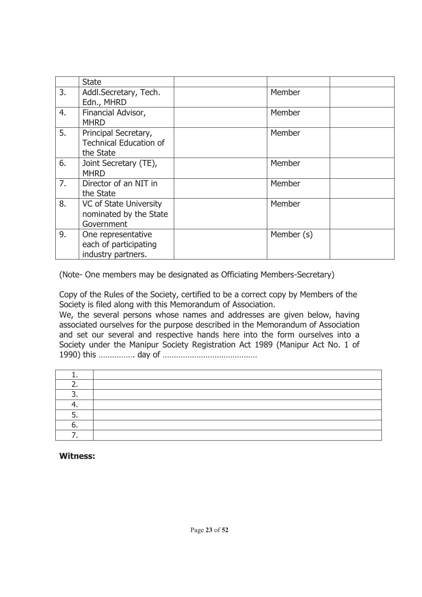|    | <b>State</b>                                                       |            |  |
|----|--------------------------------------------------------------------|------------|--|
| 3. | Addl.Secretary, Tech.<br>Edn., MHRD                                | Member     |  |
| 4. | Financial Advisor,<br><b>MHRD</b>                                  | Member     |  |
| 5. | Principal Secretary,<br><b>Technical Education of</b><br>the State | Member     |  |
| 6. | Joint Secretary (TE),<br><b>MHRD</b>                               | Member     |  |
| 7. | Director of an NIT in<br>the State                                 | Member     |  |
| 8. | VC of State University<br>nominated by the State<br>Government     | Member     |  |
| 9. | One representative<br>each of participating<br>industry partners.  | Member (s) |  |

(Note- One members may be designated as Officiating Members-Secretary)

Copy of the Rules of the Society, certified to be a correct copy by Members of the Society is filed along with this Memorandum of Association.

We, the several persons whose names and addresses are given below, having associated ourselves for the purpose described in the Memorandum of Association and set our several and respective hands here into the form ourselves into a Society under the Manipur Society Registration Act 1989 (Manipur Act No. 1 of 1990) this ……………. day of ……………………………………

**Witness:**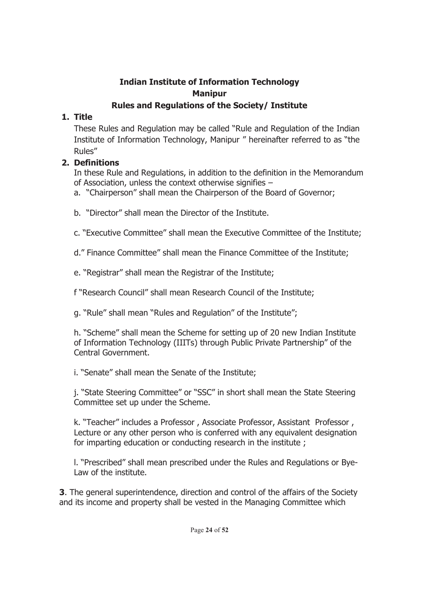# **Indian Institute of Information Technology Manipur**

# **Rules and Regulations of the Society/ Institute**

# **1. Title**

These Rules and Regulation may be called "Rule and Regulation of the Indian Institute of Information Technology, Manipur " hereinafter referred to as "the Rules"

# **2. Definitions**

In these Rule and Regulations, in addition to the definition in the Memorandum of Association, unless the context otherwise signifies –

- a. "Chairperson" shall mean the Chairperson of the Board of Governor;
- b. "Director" shall mean the Director of the Institute.
- c. "Executive Committee" shall mean the Executive Committee of the Institute;
- d." Finance Committee" shall mean the Finance Committee of the Institute;
- e. "Registrar" shall mean the Registrar of the Institute;
- f "Research Council" shall mean Research Council of the Institute;
- g. "Rule" shall mean "Rules and Regulation" of the Institute";
- h. "Scheme" shall mean the Scheme for setting up of 20 new Indian Institute of Information Technology (IIITs) through Public Private Partnership" of the Central Government.
- i. "Senate" shall mean the Senate of the Institute;
- j. "State Steering Committee" or "SSC" in short shall mean the State Steering Committee set up under the Scheme.
- k. "Teacher" includes a Professor , Associate Professor, Assistant Professor , Lecture or any other person who is conferred with any equivalent designation for imparting education or conducting research in the institute ;
- l. "Prescribed" shall mean prescribed under the Rules and Regulations or Bye-Law of the institute.

**3**. The general superintendence, direction and control of the affairs of the Society and its income and property shall be vested in the Managing Committee which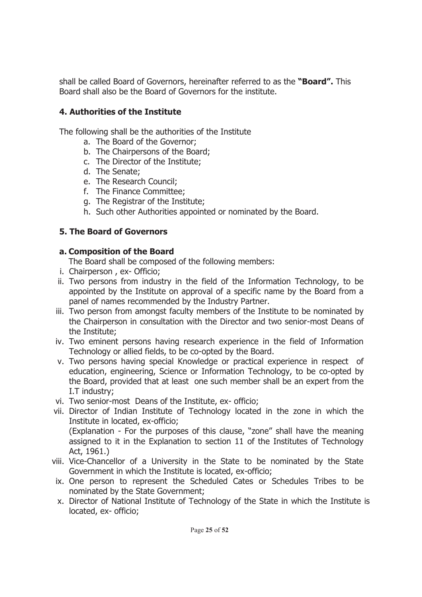shall be called Board of Governors, hereinafter referred to as the **"Board".** This Board shall also be the Board of Governors for the institute.

# **4. Authorities of the Institute**

The following shall be the authorities of the Institute

- a. The Board of the Governor;
- b. The Chairpersons of the Board;
- c. The Director of the Institute;
- d. The Senate;
- e. The Research Council;
- f. The Finance Committee;
- g. The Registrar of the Institute;
- h. Such other Authorities appointed or nominated by the Board.

# **5. The Board of Governors**

# **a. Composition of the Board**

The Board shall be composed of the following members:

- i. Chairperson , ex- Officio;
- ii. Two persons from industry in the field of the Information Technology, to be appointed by the Institute on approval of a specific name by the Board from a panel of names recommended by the Industry Partner.
- iii. Two person from amongst faculty members of the Institute to be nominated by the Chairperson in consultation with the Director and two senior-most Deans of the Institute;
- iv. Two eminent persons having research experience in the field of Information Technology or allied fields, to be co-opted by the Board.
- v. Two persons having special Knowledge or practical experience in respect of education, engineering, Science or Information Technology, to be co-opted by the Board, provided that at least one such member shall be an expert from the I.T industry;
- vi. Two senior-most Deans of the Institute, ex- officio;
- vii. Director of Indian Institute of Technology located in the zone in which the Institute in located, ex-officio;

(Explanation - For the purposes of this clause, "zone" shall have the meaning assigned to it in the Explanation to section 11 of the Institutes of Technology Act, 1961.)

- viii. Vice-Chancellor of a University in the State to be nominated by the State Government in which the Institute is located, ex-officio;
- ix. One person to represent the Scheduled Cates or Schedules Tribes to be nominated by the State Government;
- x. Director of National Institute of Technology of the State in which the Institute is located, ex- officio;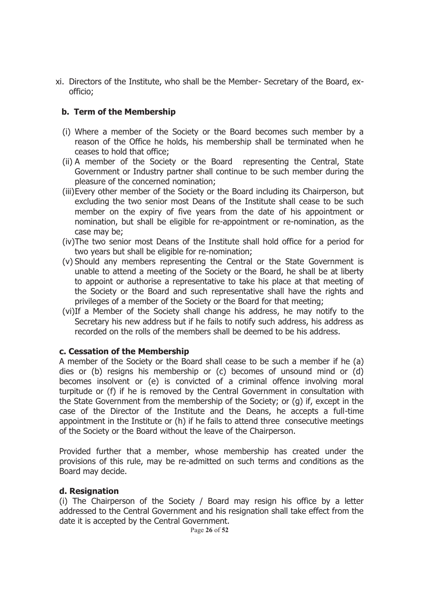xi. Directors of the Institute, who shall be the Member- Secretary of the Board, exofficio;

#### **b. Term of the Membership**

- (i) Where a member of the Society or the Board becomes such member by a reason of the Office he holds, his membership shall be terminated when he ceases to hold that office;
- (ii) A member of the Society or the Board representing the Central, State Government or Industry partner shall continue to be such member during the pleasure of the concerned nomination;
- (iii)Every other member of the Society or the Board including its Chairperson, but excluding the two senior most Deans of the Institute shall cease to be such member on the expiry of five years from the date of his appointment or nomination, but shall be eligible for re-appointment or re-nomination, as the case may be;
- (iv)The two senior most Deans of the Institute shall hold office for a period for two years but shall be eligible for re-nomination;
- (v) Should any members representing the Central or the State Government is unable to attend a meeting of the Society or the Board, he shall be at liberty to appoint or authorise a representative to take his place at that meeting of the Society or the Board and such representative shall have the rights and privileges of a member of the Society or the Board for that meeting;
- (vi)If a Member of the Society shall change his address, he may notify to the Secretary his new address but if he fails to notify such address, his address as recorded on the rolls of the members shall be deemed to be his address.

#### **c. Cessation of the Membership**

A member of the Society or the Board shall cease to be such a member if he (a) dies or (b) resigns his membership or (c) becomes of unsound mind or (d) becomes insolvent or (e) is convicted of a criminal offence involving moral turpitude or (f) if he is removed by the Central Government in consultation with the State Government from the membership of the Society; or (g) if, except in the case of the Director of the Institute and the Deans, he accepts a full-time appointment in the Institute or (h) if he fails to attend three consecutive meetings of the Society or the Board without the leave of the Chairperson.

Provided further that a member, whose membership has created under the provisions of this rule, may be re-admitted on such terms and conditions as the Board may decide.

#### **d. Resignation**

(i) The Chairperson of the Society / Board may resign his office by a letter addressed to the Central Government and his resignation shall take effect from the date it is accepted by the Central Government.

Page **26** of **52**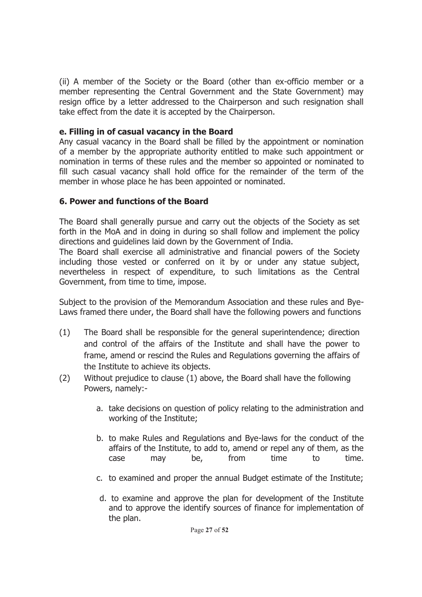(ii) A member of the Society or the Board (other than ex-officio member or a member representing the Central Government and the State Government) may resign office by a letter addressed to the Chairperson and such resignation shall take effect from the date it is accepted by the Chairperson.

### **e. Filling in of casual vacancy in the Board**

Any casual vacancy in the Board shall be filled by the appointment or nomination of a member by the appropriate authority entitled to make such appointment or nomination in terms of these rules and the member so appointed or nominated to fill such casual vacancy shall hold office for the remainder of the term of the member in whose place he has been appointed or nominated.

# **6. Power and functions of the Board**

The Board shall generally pursue and carry out the objects of the Society as set forth in the MoA and in doing in during so shall follow and implement the policy directions and guidelines laid down by the Government of India.

The Board shall exercise all administrative and financial powers of the Society including those vested or conferred on it by or under any statue subject, nevertheless in respect of expenditure, to such limitations as the Central Government, from time to time, impose.

Subject to the provision of the Memorandum Association and these rules and Bye-Laws framed there under, the Board shall have the following powers and functions

- (1) The Board shall be responsible for the general superintendence; direction and control of the affairs of the Institute and shall have the power to frame, amend or rescind the Rules and Regulations governing the affairs of the Institute to achieve its objects.
- (2) Without prejudice to clause (1) above, the Board shall have the following Powers, namely:
	- a. take decisions on question of policy relating to the administration and working of the Institute;
	- b. to make Rules and Regulations and Bye-laws for the conduct of the affairs of the Institute, to add to, amend or repel any of them, as the case may be, from time to time.
	- c. to examined and proper the annual Budget estimate of the Institute;
	- d. to examine and approve the plan for development of the Institute and to approve the identify sources of finance for implementation of the plan.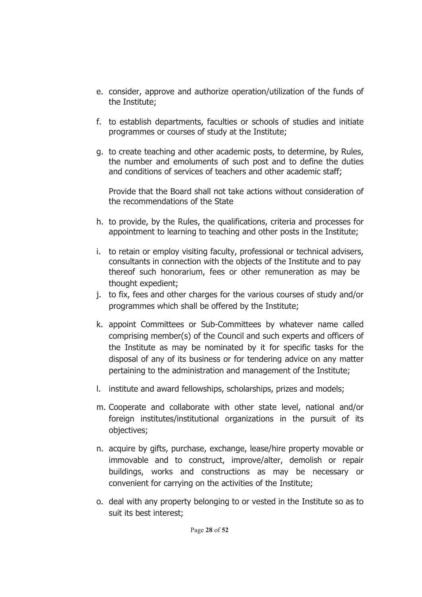- e. consider, approve and authorize operation/utilization of the funds of the Institute;
- f. to establish departments, faculties or schools of studies and initiate programmes or courses of study at the Institute;
- g. to create teaching and other academic posts, to determine, by Rules, the number and emoluments of such post and to define the duties and conditions of services of teachers and other academic staff;

Provide that the Board shall not take actions without consideration of the recommendations of the State

- h. to provide, by the Rules, the qualifications, criteria and processes for appointment to learning to teaching and other posts in the Institute;
- i. to retain or employ visiting faculty, professional or technical advisers, consultants in connection with the objects of the Institute and to pay thereof such honorarium, fees or other remuneration as may be thought expedient;
- j. to fix, fees and other charges for the various courses of study and/or programmes which shall be offered by the Institute;
- k. appoint Committees or Sub-Committees by whatever name called comprising member(s) of the Council and such experts and officers of the Institute as may be nominated by it for specific tasks for the disposal of any of its business or for tendering advice on any matter pertaining to the administration and management of the Institute;
- l. institute and award fellowships, scholarships, prizes and models;
- m. Cooperate and collaborate with other state level, national and/or foreign institutes/institutional organizations in the pursuit of its objectives;
- n. acquire by gifts, purchase, exchange, lease/hire property movable or immovable and to construct, improve/alter, demolish or repair buildings, works and constructions as may be necessary or convenient for carrying on the activities of the Institute;
- o. deal with any property belonging to or vested in the Institute so as to suit its best interest;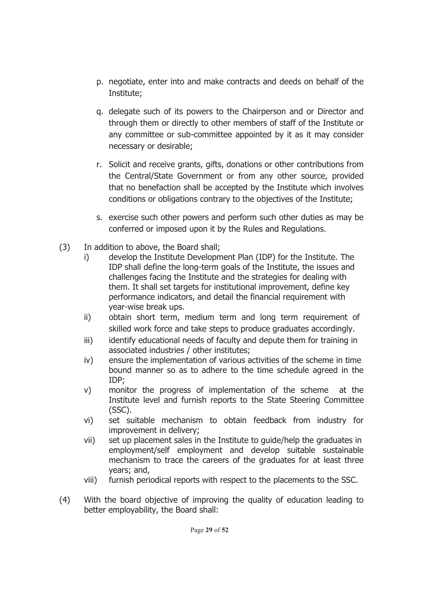- p. negotiate, enter into and make contracts and deeds on behalf of the Institute;
- q. delegate such of its powers to the Chairperson and or Director and through them or directly to other members of staff of the Institute or any committee or sub-committee appointed by it as it may consider necessary or desirable;
- r. Solicit and receive grants, gifts, donations or other contributions from the Central/State Government or from any other source, provided that no benefaction shall be accepted by the Institute which involves conditions or obligations contrary to the objectives of the Institute;
- s. exercise such other powers and perform such other duties as may be conferred or imposed upon it by the Rules and Regulations.
- (3) In addition to above, the Board shall;
	- i) develop the Institute Development Plan (IDP) for the Institute. The IDP shall define the long-term goals of the Institute, the issues and challenges facing the Institute and the strategies for dealing with them. It shall set targets for institutional improvement, define key performance indicators, and detail the financial requirement with year-wise break ups.
	- ii) obtain short term, medium term and long term requirement of skilled work force and take steps to produce graduates accordingly.
	- iii) identify educational needs of faculty and depute them for training in associated industries / other institutes;
	- iv) ensure the implementation of various activities of the scheme in time bound manner so as to adhere to the time schedule agreed in the IDP;
	- v) monitor the progress of implementation of the scheme at the Institute level and furnish reports to the State Steering Committee (SSC).
	- vi) set suitable mechanism to obtain feedback from industry for improvement in delivery;
	- vii) set up placement sales in the Institute to guide/help the graduates in employment/self employment and develop suitable sustainable mechanism to trace the careers of the graduates for at least three years; and,
	- viii) furnish periodical reports with respect to the placements to the SSC.
- (4) With the board objective of improving the quality of education leading to better employability, the Board shall: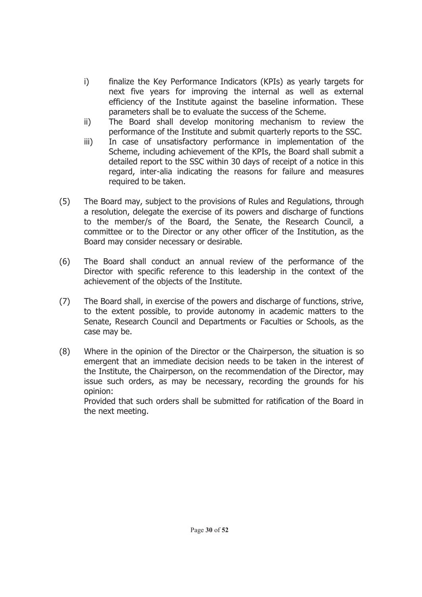- i) finalize the Key Performance Indicators (KPIs) as yearly targets for next five years for improving the internal as well as external efficiency of the Institute against the baseline information. These parameters shall be to evaluate the success of the Scheme.
- ii) The Board shall develop monitoring mechanism to review the performance of the Institute and submit quarterly reports to the SSC.
- iii) In case of unsatisfactory performance in implementation of the Scheme, including achievement of the KPIs, the Board shall submit a detailed report to the SSC within 30 days of receipt of a notice in this regard, inter-alia indicating the reasons for failure and measures required to be taken.
- (5) The Board may, subject to the provisions of Rules and Regulations, through a resolution, delegate the exercise of its powers and discharge of functions to the member/s of the Board, the Senate, the Research Council, a committee or to the Director or any other officer of the Institution, as the Board may consider necessary or desirable.
- (6) The Board shall conduct an annual review of the performance of the Director with specific reference to this leadership in the context of the achievement of the objects of the Institute.
- (7) The Board shall, in exercise of the powers and discharge of functions, strive, to the extent possible, to provide autonomy in academic matters to the Senate, Research Council and Departments or Faculties or Schools, as the case may be.
- (8) Where in the opinion of the Director or the Chairperson, the situation is so emergent that an immediate decision needs to be taken in the interest of the Institute, the Chairperson, on the recommendation of the Director, may issue such orders, as may be necessary, recording the grounds for his opinion:

Provided that such orders shall be submitted for ratification of the Board in the next meeting.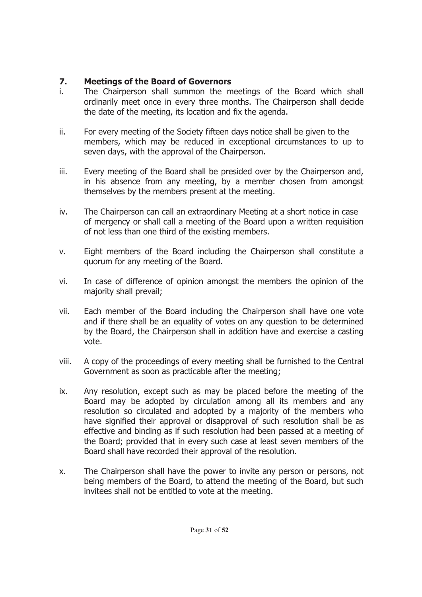# **7. Meetings of the Board of Governors**

- i. The Chairperson shall summon the meetings of the Board which shall ordinarily meet once in every three months. The Chairperson shall decide the date of the meeting, its location and fix the agenda.
- ii. For every meeting of the Society fifteen days notice shall be given to the members, which may be reduced in exceptional circumstances to up to seven days, with the approval of the Chairperson.
- iii. Every meeting of the Board shall be presided over by the Chairperson and, in his absence from any meeting, by a member chosen from amongst themselves by the members present at the meeting.
- iv. The Chairperson can call an extraordinary Meeting at a short notice in case of mergency or shall call a meeting of the Board upon a written requisition of not less than one third of the existing members.
- v. Eight members of the Board including the Chairperson shall constitute a quorum for any meeting of the Board.
- vi. In case of difference of opinion amongst the members the opinion of the majority shall prevail;
- vii. Each member of the Board including the Chairperson shall have one vote and if there shall be an equality of votes on any question to be determined by the Board, the Chairperson shall in addition have and exercise a casting vote.
- viii. A copy of the proceedings of every meeting shall be furnished to the Central Government as soon as practicable after the meeting;
- ix. Any resolution, except such as may be placed before the meeting of the Board may be adopted by circulation among all its members and any resolution so circulated and adopted by a majority of the members who have signified their approval or disapproval of such resolution shall be as effective and binding as if such resolution had been passed at a meeting of the Board; provided that in every such case at least seven members of the Board shall have recorded their approval of the resolution.
- x. The Chairperson shall have the power to invite any person or persons, not being members of the Board, to attend the meeting of the Board, but such invitees shall not be entitled to vote at the meeting.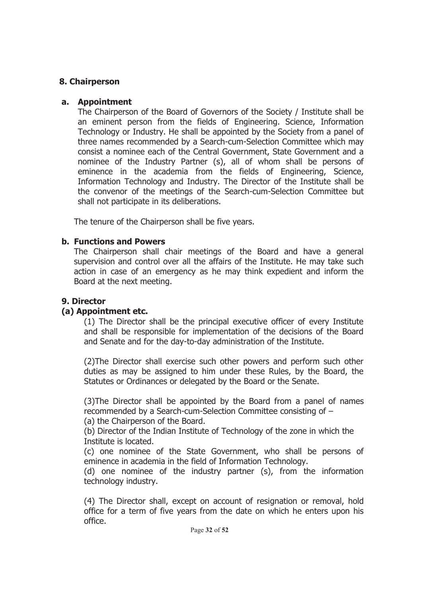### **8. Chairperson**

#### **a. Appointment**

The Chairperson of the Board of Governors of the Society / Institute shall be an eminent person from the fields of Engineering. Science, Information Technology or Industry. He shall be appointed by the Society from a panel of three names recommended by a Search-cum-Selection Committee which may consist a nominee each of the Central Government, State Government and a nominee of the Industry Partner (s), all of whom shall be persons of eminence in the academia from the fields of Engineering, Science, Information Technology and Industry. The Director of the Institute shall be the convenor of the meetings of the Search-cum-Selection Committee but shall not participate in its deliberations.

The tenure of the Chairperson shall be five years.

### **b. Functions and Powers**

The Chairperson shall chair meetings of the Board and have a general supervision and control over all the affairs of the Institute. He may take such action in case of an emergency as he may think expedient and inform the Board at the next meeting.

# **9. Director**

# **(a) Appointment etc.**

(1) The Director shall be the principal executive officer of every Institute and shall be responsible for implementation of the decisions of the Board and Senate and for the day-to-day administration of the Institute.

(2)The Director shall exercise such other powers and perform such other duties as may be assigned to him under these Rules, by the Board, the Statutes or Ordinances or delegated by the Board or the Senate.

(3)The Director shall be appointed by the Board from a panel of names recommended by a Search-cum-Selection Committee consisting of –

(a) the Chairperson of the Board.

 (b) Director of the Indian Institute of Technology of the zone in which the Institute is located.

(c) one nominee of the State Government, who shall be persons of eminence in academia in the field of Information Technology.

(d) one nominee of the industry partner (s), from the information technology industry.

(4) The Director shall, except on account of resignation or removal, hold office for a term of five years from the date on which he enters upon his office.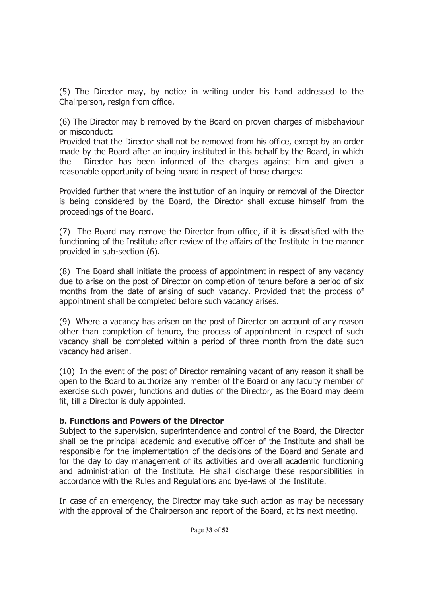(5) The Director may, by notice in writing under his hand addressed to the Chairperson, resign from office.

(6) The Director may b removed by the Board on proven charges of misbehaviour or misconduct:

Provided that the Director shall not be removed from his office, except by an order made by the Board after an inquiry instituted in this behalf by the Board, in which the Director has been informed of the charges against him and given a reasonable opportunity of being heard in respect of those charges:

Provided further that where the institution of an inquiry or removal of the Director is being considered by the Board, the Director shall excuse himself from the proceedings of the Board.

(7) The Board may remove the Director from office, if it is dissatisfied with the functioning of the Institute after review of the affairs of the Institute in the manner provided in sub-section (6).

(8) The Board shall initiate the process of appointment in respect of any vacancy due to arise on the post of Director on completion of tenure before a period of six months from the date of arising of such vacancy. Provided that the process of appointment shall be completed before such vacancy arises.

(9) Where a vacancy has arisen on the post of Director on account of any reason other than completion of tenure, the process of appointment in respect of such vacancy shall be completed within a period of three month from the date such vacancy had arisen.

(10) In the event of the post of Director remaining vacant of any reason it shall be open to the Board to authorize any member of the Board or any faculty member of exercise such power, functions and duties of the Director, as the Board may deem fit, till a Director is duly appointed.

# **b. Functions and Powers of the Director**

Subject to the supervision, superintendence and control of the Board, the Director shall be the principal academic and executive officer of the Institute and shall be responsible for the implementation of the decisions of the Board and Senate and for the day to day management of its activities and overall academic functioning and administration of the Institute. He shall discharge these responsibilities in accordance with the Rules and Regulations and bye-laws of the Institute.

In case of an emergency, the Director may take such action as may be necessary with the approval of the Chairperson and report of the Board, at its next meeting.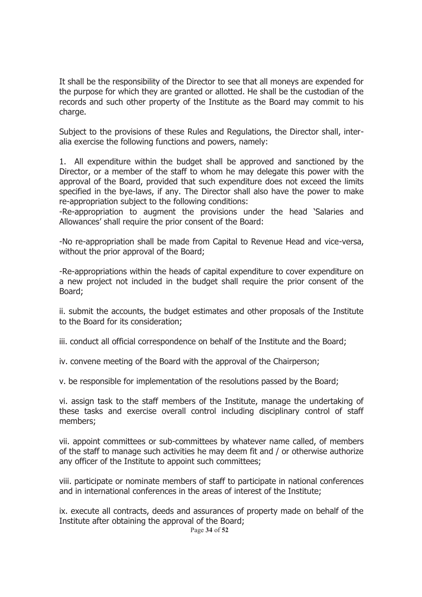It shall be the responsibility of the Director to see that all moneys are expended for the purpose for which they are granted or allotted. He shall be the custodian of the records and such other property of the Institute as the Board may commit to his charge.

Subject to the provisions of these Rules and Regulations, the Director shall, interalia exercise the following functions and powers, namely:

1. All expenditure within the budget shall be approved and sanctioned by the Director, or a member of the staff to whom he may delegate this power with the approval of the Board, provided that such expenditure does not exceed the limits specified in the bye-laws, if any. The Director shall also have the power to make re-appropriation subject to the following conditions:

-Re-appropriation to augment the provisions under the head 'Salaries and Allowances' shall require the prior consent of the Board:

-No re-appropriation shall be made from Capital to Revenue Head and vice-versa, without the prior approval of the Board;

-Re-appropriations within the heads of capital expenditure to cover expenditure on a new project not included in the budget shall require the prior consent of the Board;

ii. submit the accounts, the budget estimates and other proposals of the Institute to the Board for its consideration;

iii. conduct all official correspondence on behalf of the Institute and the Board;

iv. convene meeting of the Board with the approval of the Chairperson;

v. be responsible for implementation of the resolutions passed by the Board;

vi. assign task to the staff members of the Institute, manage the undertaking of these tasks and exercise overall control including disciplinary control of staff members;

vii. appoint committees or sub-committees by whatever name called, of members of the staff to manage such activities he may deem fit and / or otherwise authorize any officer of the Institute to appoint such committees;

viii. participate or nominate members of staff to participate in national conferences and in international conferences in the areas of interest of the Institute;

Page **34** of **52** ix. execute all contracts, deeds and assurances of property made on behalf of the Institute after obtaining the approval of the Board;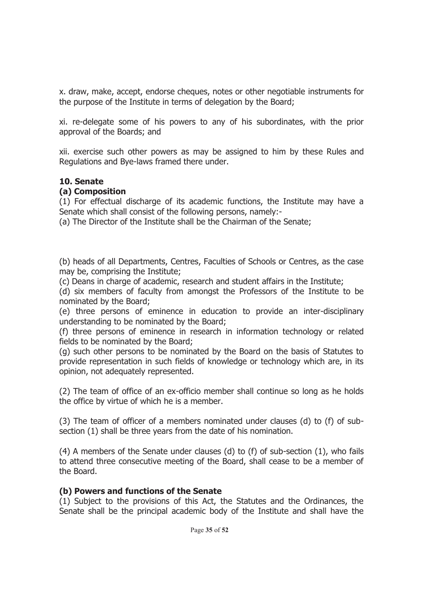x. draw, make, accept, endorse cheques, notes or other negotiable instruments for the purpose of the Institute in terms of delegation by the Board;

xi. re-delegate some of his powers to any of his subordinates, with the prior approval of the Boards; and

xii. exercise such other powers as may be assigned to him by these Rules and Regulations and Bye-laws framed there under.

#### **10. Senate**

### **(a) Composition**

(1) For effectual discharge of its academic functions, the Institute may have a Senate which shall consist of the following persons, namely:-

(a) The Director of the Institute shall be the Chairman of the Senate;

(b) heads of all Departments, Centres, Faculties of Schools or Centres, as the case may be, comprising the Institute;

(c) Deans in charge of academic, research and student affairs in the Institute;

(d) six members of faculty from amongst the Professors of the Institute to be nominated by the Board;

(e) three persons of eminence in education to provide an inter-disciplinary understanding to be nominated by the Board;

(f) three persons of eminence in research in information technology or related fields to be nominated by the Board;

(g) such other persons to be nominated by the Board on the basis of Statutes to provide representation in such fields of knowledge or technology which are, in its opinion, not adequately represented.

(2) The team of office of an ex-officio member shall continue so long as he holds the office by virtue of which he is a member.

(3) The team of officer of a members nominated under clauses (d) to (f) of subsection (1) shall be three years from the date of his nomination.

(4) A members of the Senate under clauses (d) to (f) of sub-section (1), who fails to attend three consecutive meeting of the Board, shall cease to be a member of the Board.

# **(b) Powers and functions of the Senate**

(1) Subject to the provisions of this Act, the Statutes and the Ordinances, the Senate shall be the principal academic body of the Institute and shall have the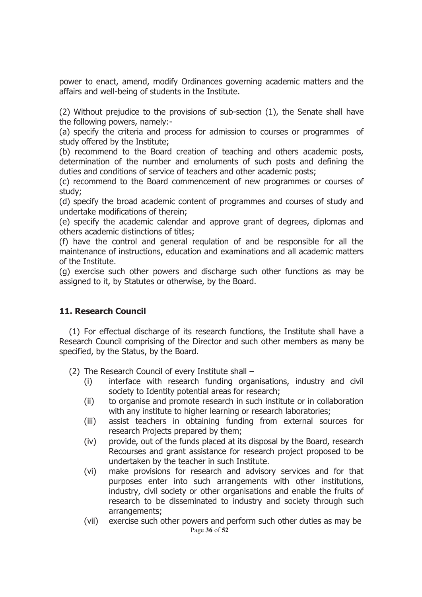power to enact, amend, modify Ordinances governing academic matters and the affairs and well-being of students in the Institute.

(2) Without prejudice to the provisions of sub-section (1), the Senate shall have the following powers, namely:-

(a) specify the criteria and process for admission to courses or programmes of study offered by the Institute;

(b) recommend to the Board creation of teaching and others academic posts, determination of the number and emoluments of such posts and defining the duties and conditions of service of teachers and other academic posts;

(c) recommend to the Board commencement of new programmes or courses of study;

(d) specify the broad academic content of programmes and courses of study and undertake modifications of therein;

(e) specify the academic calendar and approve grant of degrees, diplomas and others academic distinctions of titles;

(f) have the control and general requlation of and be responsible for all the maintenance of instructions, education and examinations and all academic matters of the Institute.

(g) exercise such other powers and discharge such other functions as may be assigned to it, by Statutes or otherwise, by the Board.

#### **11. Research Council**

(1) For effectual discharge of its research functions, the Institute shall have a Research Council comprising of the Director and such other members as many be specified, by the Status, by the Board.

(2) The Research Council of every Institute shall –

- (i) interface with research funding organisations, industry and civil society to Identity potential areas for research;
- (ii) to organise and promote research in such institute or in collaboration with any institute to higher learning or research laboratories;
- (iii) assist teachers in obtaining funding from external sources for research Projects prepared by them;
- (iv) provide, out of the funds placed at its disposal by the Board, research Recourses and grant assistance for research project proposed to be undertaken by the teacher in such Institute.
- (vi) make provisions for research and advisory services and for that purposes enter into such arrangements with other institutions, industry, civil society or other organisations and enable the fruits of research to be disseminated to industry and society through such arrangements;
- Page **36** of **52** (vii) exercise such other powers and perform such other duties as may be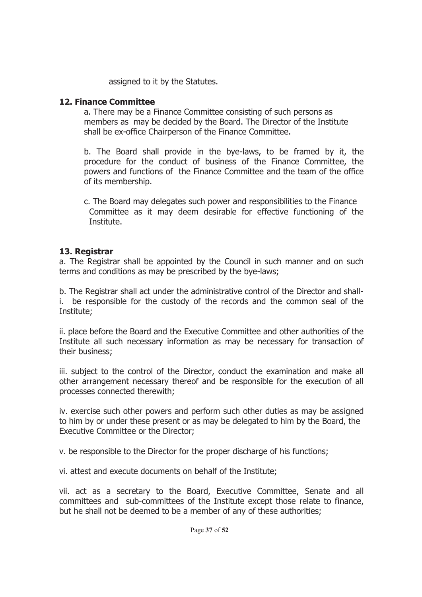assigned to it by the Statutes.

#### **12. Finance Committee**

a. There may be a Finance Committee consisting of such persons as members as may be decided by the Board. The Director of the Institute shall be ex-office Chairperson of the Finance Committee.

b. The Board shall provide in the bye-laws, to be framed by it, the procedure for the conduct of business of the Finance Committee, the powers and functions of the Finance Committee and the team of the office of its membership.

 c. The Board may delegates such power and responsibilities to the Finance Committee as it may deem desirable for effective functioning of the Institute.

### **13. Registrar**

a. The Registrar shall be appointed by the Council in such manner and on such terms and conditions as may be prescribed by the bye-laws;

b. The Registrar shall act under the administrative control of the Director and shalli. be responsible for the custody of the records and the common seal of the Institute;

ii. place before the Board and the Executive Committee and other authorities of the Institute all such necessary information as may be necessary for transaction of their business;

iii. subject to the control of the Director, conduct the examination and make all other arrangement necessary thereof and be responsible for the execution of all processes connected therewith;

iv. exercise such other powers and perform such other duties as may be assigned to him by or under these present or as may be delegated to him by the Board, the Executive Committee or the Director;

v. be responsible to the Director for the proper discharge of his functions;

vi. attest and execute documents on behalf of the Institute;

vii. act as a secretary to the Board, Executive Committee, Senate and all committees and sub-committees of the Institute except those relate to finance, but he shall not be deemed to be a member of any of these authorities;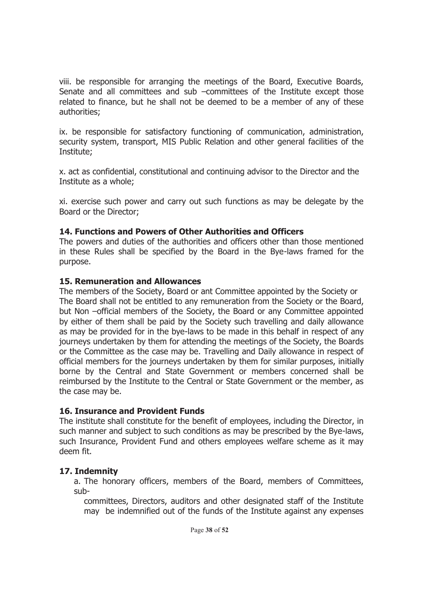viii. be responsible for arranging the meetings of the Board, Executive Boards, Senate and all committees and sub –committees of the Institute except those related to finance, but he shall not be deemed to be a member of any of these authorities;

ix. be responsible for satisfactory functioning of communication, administration, security system, transport, MIS Public Relation and other general facilities of the Institute;

x. act as confidential, constitutional and continuing advisor to the Director and the Institute as a whole;

xi. exercise such power and carry out such functions as may be delegate by the Board or the Director;

# **14. Functions and Powers of Other Authorities and Officers**

The powers and duties of the authorities and officers other than those mentioned in these Rules shall be specified by the Board in the Bye-laws framed for the purpose.

### **15. Remuneration and Allowances**

The members of the Society, Board or ant Committee appointed by the Society or The Board shall not be entitled to any remuneration from the Society or the Board, but Non –official members of the Society, the Board or any Committee appointed by either of them shall be paid by the Society such travelling and daily allowance as may be provided for in the bye-laws to be made in this behalf in respect of any journeys undertaken by them for attending the meetings of the Society, the Boards or the Committee as the case may be. Travelling and Daily allowance in respect of official members for the journeys undertaken by them for similar purposes, initially borne by the Central and State Government or members concerned shall be reimbursed by the Institute to the Central or State Government or the member, as the case may be.

# **16. Insurance and Provident Funds**

The institute shall constitute for the benefit of employees, including the Director, in such manner and subject to such conditions as may be prescribed by the Bye-laws, such Insurance, Provident Fund and others employees welfare scheme as it may deem fit.

# **17. Indemnity**

a. The honorary officers, members of the Board, members of Committees, sub-

committees, Directors, auditors and other designated staff of the Institute may be indemnified out of the funds of the Institute against any expenses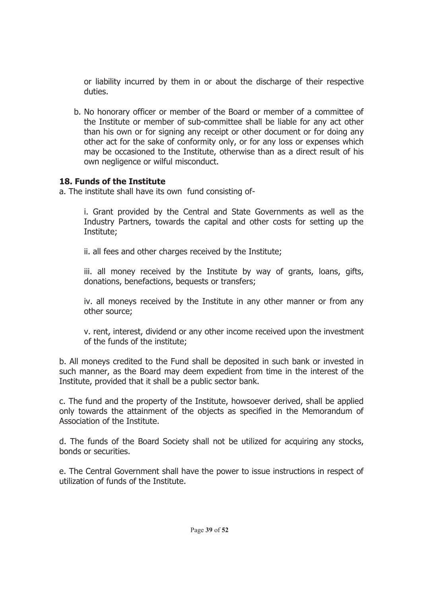or liability incurred by them in or about the discharge of their respective duties.

b. No honorary officer or member of the Board or member of a committee of the Institute or member of sub-committee shall be liable for any act other than his own or for signing any receipt or other document or for doing any other act for the sake of conformity only, or for any loss or expenses which may be occasioned to the Institute, otherwise than as a direct result of his own negligence or wilful misconduct.

### **18. Funds of the Institute**

a. The institute shall have its own fund consisting of-

i. Grant provided by the Central and State Governments as well as the Industry Partners, towards the capital and other costs for setting up the Institute;

ii. all fees and other charges received by the Institute;

iii. all money received by the Institute by way of grants, loans, gifts, donations, benefactions, bequests or transfers;

iv. all moneys received by the Institute in any other manner or from any other source;

v. rent, interest, dividend or any other income received upon the investment of the funds of the institute;

b. All moneys credited to the Fund shall be deposited in such bank or invested in such manner, as the Board may deem expedient from time in the interest of the Institute, provided that it shall be a public sector bank.

c. The fund and the property of the Institute, howsoever derived, shall be applied only towards the attainment of the objects as specified in the Memorandum of Association of the Institute.

d. The funds of the Board Society shall not be utilized for acquiring any stocks, bonds or securities.

e. The Central Government shall have the power to issue instructions in respect of utilization of funds of the Institute.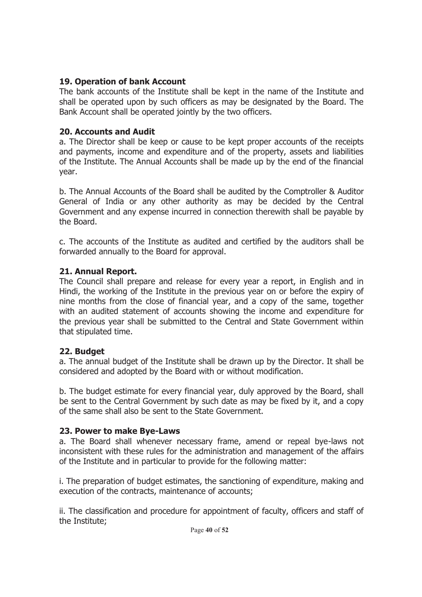### **19. Operation of bank Account**

The bank accounts of the Institute shall be kept in the name of the Institute and shall be operated upon by such officers as may be designated by the Board. The Bank Account shall be operated jointly by the two officers.

### **20. Accounts and Audit**

a. The Director shall be keep or cause to be kept proper accounts of the receipts and payments, income and expenditure and of the property, assets and liabilities of the Institute. The Annual Accounts shall be made up by the end of the financial year.

b. The Annual Accounts of the Board shall be audited by the Comptroller & Auditor General of India or any other authority as may be decided by the Central Government and any expense incurred in connection therewith shall be payable by the Board.

c. The accounts of the Institute as audited and certified by the auditors shall be forwarded annually to the Board for approval.

# **21. Annual Report.**

The Council shall prepare and release for every year a report, in English and in Hindi, the working of the Institute in the previous year on or before the expiry of nine months from the close of financial year, and a copy of the same, together with an audited statement of accounts showing the income and expenditure for the previous year shall be submitted to the Central and State Government within that stipulated time.

# **22. Budget**

a. The annual budget of the Institute shall be drawn up by the Director. It shall be considered and adopted by the Board with or without modification.

b. The budget estimate for every financial year, duly approved by the Board, shall be sent to the Central Government by such date as may be fixed by it, and a copy of the same shall also be sent to the State Government.

# **23. Power to make Bye-Laws**

a. The Board shall whenever necessary frame, amend or repeal bye-laws not inconsistent with these rules for the administration and management of the affairs of the Institute and in particular to provide for the following matter:

i. The preparation of budget estimates, the sanctioning of expenditure, making and execution of the contracts, maintenance of accounts;

ii. The classification and procedure for appointment of faculty, officers and staff of the Institute;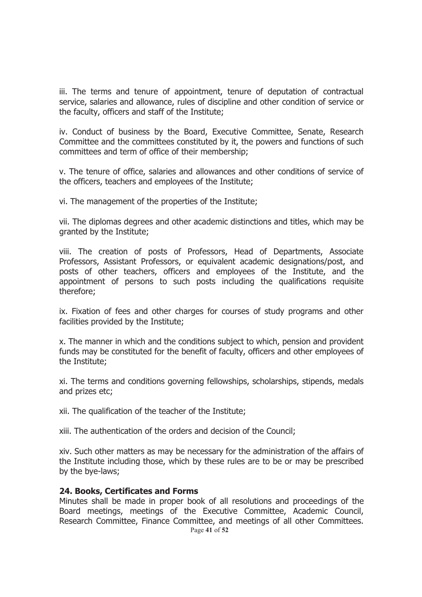iii. The terms and tenure of appointment, tenure of deputation of contractual service, salaries and allowance, rules of discipline and other condition of service or the faculty, officers and staff of the Institute;

iv. Conduct of business by the Board, Executive Committee, Senate, Research Committee and the committees constituted by it, the powers and functions of such committees and term of office of their membership;

v. The tenure of office, salaries and allowances and other conditions of service of the officers, teachers and employees of the Institute;

vi. The management of the properties of the Institute;

vii. The diplomas degrees and other academic distinctions and titles, which may be granted by the Institute;

viii. The creation of posts of Professors, Head of Departments, Associate Professors, Assistant Professors, or equivalent academic designations/post, and posts of other teachers, officers and employees of the Institute, and the appointment of persons to such posts including the qualifications requisite therefore;

ix. Fixation of fees and other charges for courses of study programs and other facilities provided by the Institute;

x. The manner in which and the conditions subject to which, pension and provident funds may be constituted for the benefit of faculty, officers and other employees of the Institute;

xi. The terms and conditions governing fellowships, scholarships, stipends, medals and prizes etc;

xii. The qualification of the teacher of the Institute;

xiii. The authentication of the orders and decision of the Council;

xiv. Such other matters as may be necessary for the administration of the affairs of the Institute including those, which by these rules are to be or may be prescribed by the bye-laws;

#### **24. Books, Certificates and Forms**

Page **41** of **52** Minutes shall be made in proper book of all resolutions and proceedings of the Board meetings, meetings of the Executive Committee, Academic Council, Research Committee, Finance Committee, and meetings of all other Committees.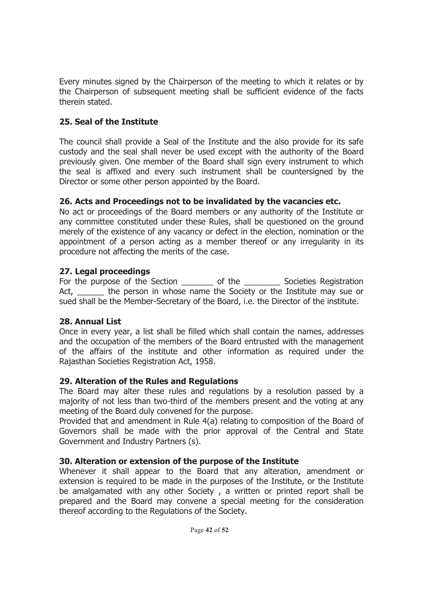Every minutes signed by the Chairperson of the meeting to which it relates or by the Chairperson of subsequent meeting shall be sufficient evidence of the facts therein stated.

# **25. Seal of the Institute**

The council shall provide a Seal of the Institute and the also provide for its safe custody and the seal shall never be used except with the authority of the Board previously given. One member of the Board shall sign every instrument to which the seal is affixed and every such instrument shall be countersigned by the Director or some other person appointed by the Board.

# **26. Acts and Proceedings not to be invalidated by the vacancies etc.**

No act or proceedings of the Board members or any authority of the Institute or any committee constituted under these Rules, shall be questioned on the ground merely of the existence of any vacancy or defect in the election, nomination or the appointment of a person acting as a member thereof or any irregularity in its procedure not affecting the merits of the case.

# **27. Legal proceedings**

For the purpose of the Section \_\_\_\_\_\_\_\_ of the \_\_\_\_\_\_\_\_\_\_ Societies Registration Act, \_\_\_\_\_\_\_ the person in whose name the Society or the Institute may sue or sued shall be the Member-Secretary of the Board, i.e. the Director of the institute.

# **28. Annual List**

Once in every year, a list shall be filled which shall contain the names, addresses and the occupation of the members of the Board entrusted with the management of the affairs of the institute and other information as required under the Rajasthan Societies Registration Act, 1958.

# **29. Alteration of the Rules and Regulations**

The Board may alter these rules and regulations by a resolution passed by a majority of not less than two-third of the members present and the voting at any meeting of the Board duly convened for the purpose.

Provided that and amendment in Rule 4(a) relating to composition of the Board of Governors shall be made with the prior approval of the Central and State Government and Industry Partners (s).

# **30. Alteration or extension of the purpose of the Institute**

Whenever it shall appear to the Board that any alteration, amendment or extension is required to be made in the purposes of the Institute, or the Institute be amalgamated with any other Society , a written or printed report shall be prepared and the Board may convene a special meeting for the consideration thereof according to the Regulations of the Society.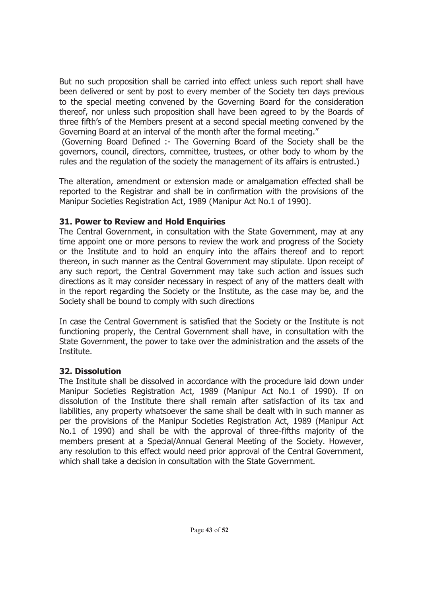But no such proposition shall be carried into effect unless such report shall have been delivered or sent by post to every member of the Society ten days previous to the special meeting convened by the Governing Board for the consideration thereof, nor unless such proposition shall have been agreed to by the Boards of three fifth's of the Members present at a second special meeting convened by the Governing Board at an interval of the month after the formal meeting."

 (Governing Board Defined :- The Governing Board of the Society shall be the governors, council, directors, committee, trustees, or other body to whom by the rules and the regulation of the society the management of its affairs is entrusted.)

The alteration, amendment or extension made or amalgamation effected shall be reported to the Registrar and shall be in confirmation with the provisions of the Manipur Societies Registration Act, 1989 (Manipur Act No.1 of 1990).

### **31. Power to Review and Hold Enquiries**

The Central Government, in consultation with the State Government, may at any time appoint one or more persons to review the work and progress of the Society or the Institute and to hold an enquiry into the affairs thereof and to report thereon, in such manner as the Central Government may stipulate. Upon receipt of any such report, the Central Government may take such action and issues such directions as it may consider necessary in respect of any of the matters dealt with in the report regarding the Society or the Institute, as the case may be, and the Society shall be bound to comply with such directions

In case the Central Government is satisfied that the Society or the Institute is not functioning properly, the Central Government shall have, in consultation with the State Government, the power to take over the administration and the assets of the Institute.

# **32. Dissolution**

The Institute shall be dissolved in accordance with the procedure laid down under Manipur Societies Registration Act, 1989 (Manipur Act No.1 of 1990). If on dissolution of the Institute there shall remain after satisfaction of its tax and liabilities, any property whatsoever the same shall be dealt with in such manner as per the provisions of the Manipur Societies Registration Act, 1989 (Manipur Act No.1 of 1990) and shall be with the approval of three-fifths majority of the members present at a Special/Annual General Meeting of the Society. However, any resolution to this effect would need prior approval of the Central Government, which shall take a decision in consultation with the State Government.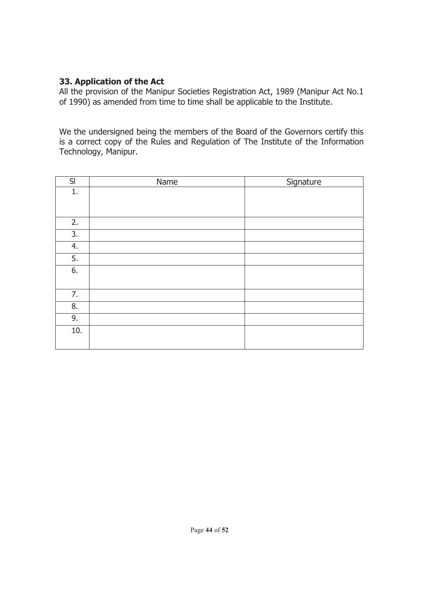# **33. Application of the Act**

All the provision of the Manipur Societies Registration Act, 1989 (Manipur Act No.1 of 1990) as amended from time to time shall be applicable to the Institute.

We the undersigned being the members of the Board of the Governors certify this is a correct copy of the Rules and Regulation of The Institute of the Information Technology, Manipur.

| SI  | Name | Signature |
|-----|------|-----------|
| 1.  |      |           |
|     |      |           |
|     |      |           |
| 2.  |      |           |
| 3.  |      |           |
| 4.  |      |           |
| 5.  |      |           |
| 6.  |      |           |
|     |      |           |
| 7.  |      |           |
| 8.  |      |           |
| 9.  |      |           |
| 10. |      |           |
|     |      |           |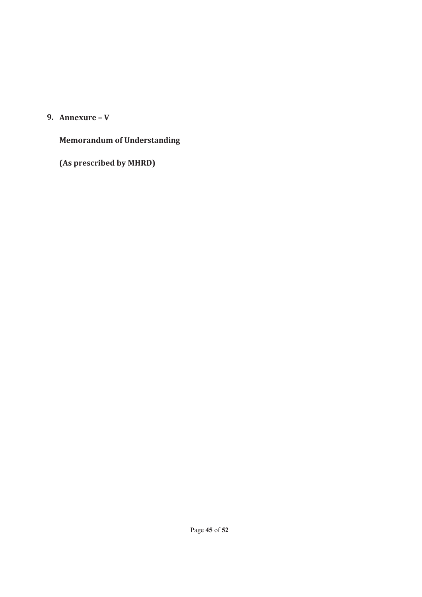# **9. Annexure – V**

# **Memorandum of Understanding**

**(As prescribed by MHRD)**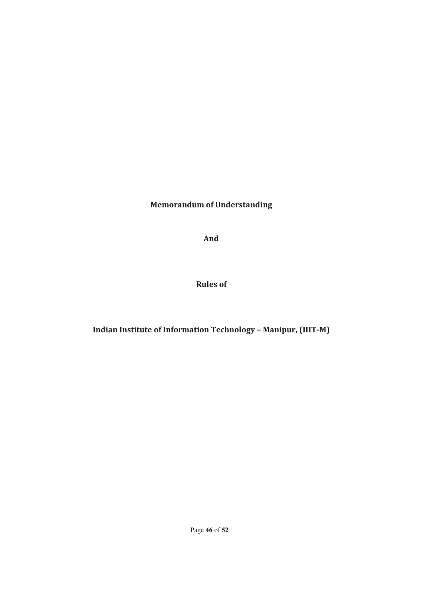**Memorandum of Understanding**

**And**

**Rules of**

**Indian Institute of Information Technology – Manipur, (IIIT-M)**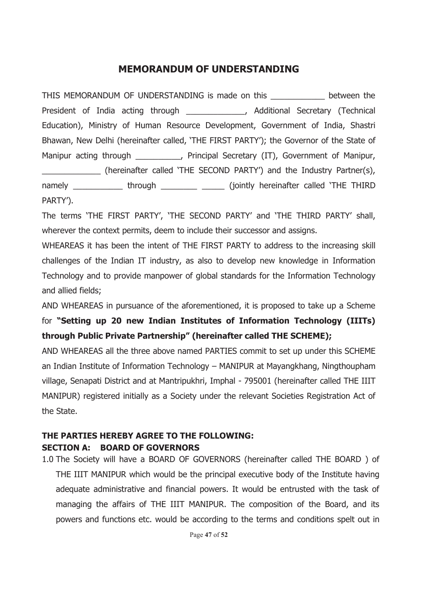# **MEMORANDUM OF UNDERSTANDING**

THIS MEMORANDUM OF UNDERSTANDING is made on this between the President of India acting through \_\_\_\_\_\_\_\_\_\_\_\_\_, Additional Secretary (Technical Education), Ministry of Human Resource Development, Government of India, Shastri Bhawan, New Delhi (hereinafter called, 'THE FIRST PARTY'); the Governor of the State of Manipur acting through \_\_\_\_\_\_\_\_\_\_, Principal Secretary (IT), Government of Manipur, \_\_\_\_\_\_\_\_\_\_\_\_\_ (hereinafter called 'THE SECOND PARTY') and the Industry Partner(s), namely \_\_\_\_\_\_\_\_\_\_\_\_\_ through \_\_\_\_\_\_\_\_\_ \_\_\_\_\_\_ (jointly hereinafter called 'THE THIRD PARTY').

The terms 'THE FIRST PARTY', 'THE SECOND PARTY' and 'THE THIRD PARTY' shall, wherever the context permits, deem to include their successor and assigns.

WHEAREAS it has been the intent of THE FIRST PARTY to address to the increasing skill challenges of the Indian IT industry, as also to develop new knowledge in Information Technology and to provide manpower of global standards for the Information Technology and allied fields;

AND WHEAREAS in pursuance of the aforementioned, it is proposed to take up a Scheme for **"Setting up 20 new Indian Institutes of Information Technology (IIITs) through Public Private Partnership" (hereinafter called THE SCHEME);**

AND WHEAREAS all the three above named PARTIES commit to set up under this SCHEME an Indian Institute of Information Technology – MANIPUR at Mayangkhang, Ningthoupham village, Senapati District and at Mantripukhri, Imphal - 795001 (hereinafter called THE IIIT MANIPUR) registered initially as a Society under the relevant Societies Registration Act of the State.

### **THE PARTIES HEREBY AGREE TO THE FOLLOWING: SECTION A: BOARD OF GOVERNORS**

1.0 The Society will have a BOARD OF GOVERNORS (hereinafter called THE BOARD ) of THE IIIT MANIPUR which would be the principal executive body of the Institute having adequate administrative and financial powers. It would be entrusted with the task of managing the affairs of THE IIIT MANIPUR. The composition of the Board, and its powers and functions etc. would be according to the terms and conditions spelt out in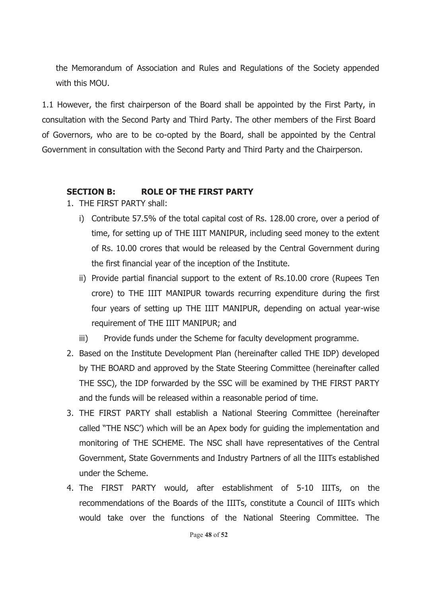the Memorandum of Association and Rules and Regulations of the Society appended with this MOU.

1.1 However, the first chairperson of the Board shall be appointed by the First Party, in consultation with the Second Party and Third Party. The other members of the First Board of Governors, who are to be co-opted by the Board, shall be appointed by the Central Government in consultation with the Second Party and Third Party and the Chairperson.

# **SECTION B: ROLE OF THE FIRST PARTY**

- 1. THE FIRST PARTY shall:
	- i) Contribute 57.5% of the total capital cost of Rs. 128.00 crore, over a period of time, for setting up of THE IIIT MANIPUR, including seed money to the extent of Rs. 10.00 crores that would be released by the Central Government during the first financial year of the inception of the Institute.
	- ii) Provide partial financial support to the extent of Rs.10.00 crore (Rupees Ten crore) to THE IIIT MANIPUR towards recurring expenditure during the first four years of setting up THE IIIT MANIPUR, depending on actual year-wise requirement of THE IIIT MANIPUR; and
	- iii) Provide funds under the Scheme for faculty development programme.
- 2. Based on the Institute Development Plan (hereinafter called THE IDP) developed by THE BOARD and approved by the State Steering Committee (hereinafter called THE SSC), the IDP forwarded by the SSC will be examined by THE FIRST PARTY and the funds will be released within a reasonable period of time.
- 3. THE FIRST PARTY shall establish a National Steering Committee (hereinafter called "THE NSC') which will be an Apex body for guiding the implementation and monitoring of THE SCHEME. The NSC shall have representatives of the Central Government, State Governments and Industry Partners of all the IIITs established under the Scheme.
- 4. The FIRST PARTY would, after establishment of 5-10 IIITs, on the recommendations of the Boards of the IIITs, constitute a Council of IIITs which would take over the functions of the National Steering Committee. The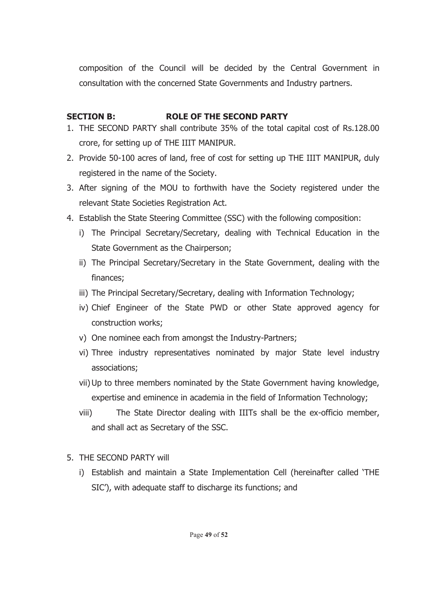composition of the Council will be decided by the Central Government in consultation with the concerned State Governments and Industry partners.

# **SECTION B: ROLE OF THE SECOND PARTY**

- 1. THE SECOND PARTY shall contribute 35% of the total capital cost of Rs.128.00 crore, for setting up of THE IIIT MANIPUR.
- 2. Provide 50-100 acres of land, free of cost for setting up THE IIIT MANIPUR, duly registered in the name of the Society.
- 3. After signing of the MOU to forthwith have the Society registered under the relevant State Societies Registration Act.
- 4. Establish the State Steering Committee (SSC) with the following composition:
	- i) The Principal Secretary/Secretary, dealing with Technical Education in the State Government as the Chairperson;
	- ii) The Principal Secretary/Secretary in the State Government, dealing with the finances;
	- iii) The Principal Secretary/Secretary, dealing with Information Technology;
	- iv) Chief Engineer of the State PWD or other State approved agency for construction works;
	- v) One nominee each from amongst the Industry-Partners;
	- vi) Three industry representatives nominated by major State level industry associations;
	- vii)Up to three members nominated by the State Government having knowledge, expertise and eminence in academia in the field of Information Technology;
	- viii) The State Director dealing with IIITs shall be the ex-officio member, and shall act as Secretary of the SSC.
- 5. THE SECOND PARTY will
	- i) Establish and maintain a State Implementation Cell (hereinafter called 'THE SIC'), with adequate staff to discharge its functions; and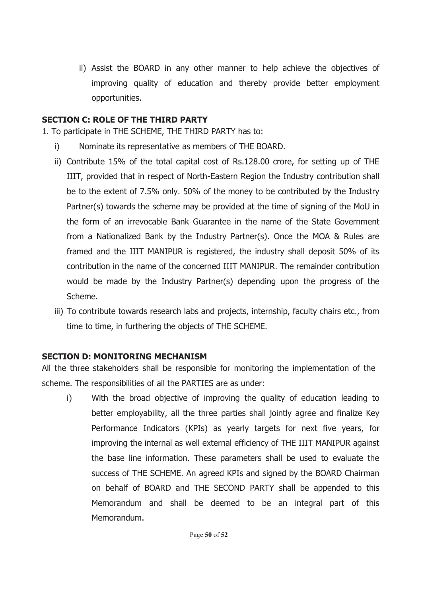ii) Assist the BOARD in any other manner to help achieve the objectives of improving quality of education and thereby provide better employment opportunities.

# **SECTION C: ROLE OF THE THIRD PARTY**

- 1. To participate in THE SCHEME, THE THIRD PARTY has to:
	- i) Nominate its representative as members of THE BOARD.
	- ii) Contribute 15% of the total capital cost of Rs.128.00 crore, for setting up of THE IIIT, provided that in respect of North-Eastern Region the Industry contribution shall be to the extent of 7.5% only. 50% of the money to be contributed by the Industry Partner(s) towards the scheme may be provided at the time of signing of the MoU in the form of an irrevocable Bank Guarantee in the name of the State Government from a Nationalized Bank by the Industry Partner(s). Once the MOA & Rules are framed and the IIIT MANIPUR is registered, the industry shall deposit 50% of its contribution in the name of the concerned IIIT MANIPUR. The remainder contribution would be made by the Industry Partner(s) depending upon the progress of the Scheme.
	- iii) To contribute towards research labs and projects, internship, faculty chairs etc., from time to time, in furthering the objects of THE SCHEME.

# **SECTION D: MONITORING MECHANISM**

All the three stakeholders shall be responsible for monitoring the implementation of the scheme. The responsibilities of all the PARTIES are as under:

i) With the broad objective of improving the quality of education leading to better employability, all the three parties shall jointly agree and finalize Key Performance Indicators (KPIs) as yearly targets for next five years, for improving the internal as well external efficiency of THE IIIT MANIPUR against the base line information. These parameters shall be used to evaluate the success of THE SCHEME. An agreed KPIs and signed by the BOARD Chairman on behalf of BOARD and THE SECOND PARTY shall be appended to this Memorandum and shall be deemed to be an integral part of this Memorandum.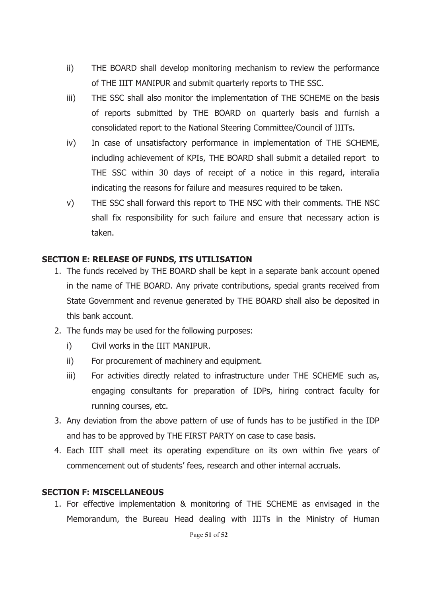- ii) THE BOARD shall develop monitoring mechanism to review the performance of THE IIIT MANIPUR and submit quarterly reports to THE SSC.
- iii) THE SSC shall also monitor the implementation of THE SCHEME on the basis of reports submitted by THE BOARD on quarterly basis and furnish a consolidated report to the National Steering Committee/Council of IIITs.
- iv) In case of unsatisfactory performance in implementation of THE SCHEME, including achievement of KPIs, THE BOARD shall submit a detailed report to THE SSC within 30 days of receipt of a notice in this regard, interalia indicating the reasons for failure and measures required to be taken.
- v) THE SSC shall forward this report to THE NSC with their comments. THE NSC shall fix responsibility for such failure and ensure that necessary action is taken.

# **SECTION E: RELEASE OF FUNDS, ITS UTILISATION**

- 1. The funds received by THE BOARD shall be kept in a separate bank account opened in the name of THE BOARD. Any private contributions, special grants received from State Government and revenue generated by THE BOARD shall also be deposited in this bank account.
- 2. The funds may be used for the following purposes:
	- i) Civil works in the IIIT MANIPUR.
	- ii) For procurement of machinery and equipment.
	- iii) For activities directly related to infrastructure under THE SCHEME such as, engaging consultants for preparation of IDPs, hiring contract faculty for running courses, etc.
- 3. Any deviation from the above pattern of use of funds has to be justified in the IDP and has to be approved by THE FIRST PARTY on case to case basis.
- 4. Each IIIT shall meet its operating expenditure on its own within five years of commencement out of students' fees, research and other internal accruals.

#### **SECTION F: MISCELLANEOUS**

1. For effective implementation & monitoring of THE SCHEME as envisaged in the Memorandum, the Bureau Head dealing with IIITs in the Ministry of Human